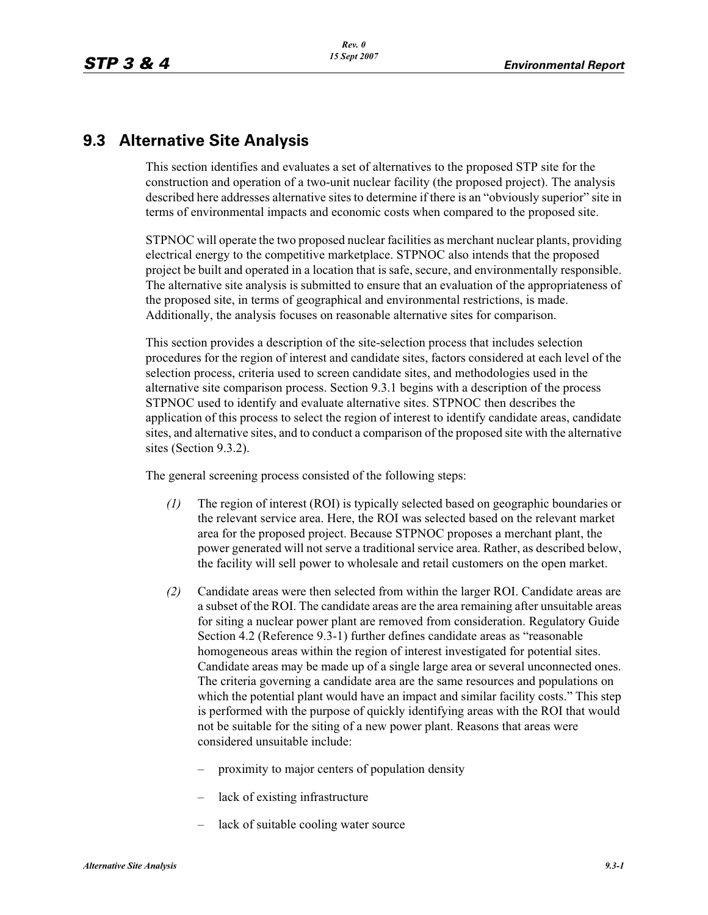# **9.3 Alternative Site Analysis**

This section identifies and evaluates a set of alternatives to the proposed STP site for the construction and operation of a two-unit nuclear facility (the proposed project). The analysis described here addresses alternative sites to determine if there is an "obviously superior" site in terms of environmental impacts and economic costs when compared to the proposed site.

STPNOC will operate the two proposed nuclear facilities as merchant nuclear plants, providing electrical energy to the competitive marketplace. STPNOC also intends that the proposed project be built and operated in a location that is safe, secure, and environmentally responsible. The alternative site analysis is submitted to ensure that an evaluation of the appropriateness of the proposed site, in terms of geographical and environmental restrictions, is made. Additionally, the analysis focuses on reasonable alternative sites for comparison.

This section provides a description of the site-selection process that includes selection procedures for the region of interest and candidate sites, factors considered at each level of the selection process, criteria used to screen candidate sites, and methodologies used in the alternative site comparison process. Section 9.3.1 begins with a description of the process STPNOC used to identify and evaluate alternative sites. STPNOC then describes the application of this process to select the region of interest to identify candidate areas, candidate sites, and alternative sites, and to conduct a comparison of the proposed site with the alternative sites (Section 9.3.2).

The general screening process consisted of the following steps:

- *(1)* The region of interest (ROI) is typically selected based on geographic boundaries or the relevant service area. Here, the ROI was selected based on the relevant market area for the proposed project. Because STPNOC proposes a merchant plant, the power generated will not serve a traditional service area. Rather, as described below, the facility will sell power to wholesale and retail customers on the open market.
- *(2)* Candidate areas were then selected from within the larger ROI. Candidate areas are a subset of the ROI. The candidate areas are the area remaining after unsuitable areas for siting a nuclear power plant are removed from consideration. Regulatory Guide Section 4.2 (Reference 9.3-1) further defines candidate areas as "reasonable homogeneous areas within the region of interest investigated for potential sites. Candidate areas may be made up of a single large area or several unconnected ones. The criteria governing a candidate area are the same resources and populations on which the potential plant would have an impact and similar facility costs." This step is performed with the purpose of quickly identifying areas with the ROI that would not be suitable for the siting of a new power plant. Reasons that areas were considered unsuitable include:
	- proximity to major centers of population density
	- lack of existing infrastructure
	- lack of suitable cooling water source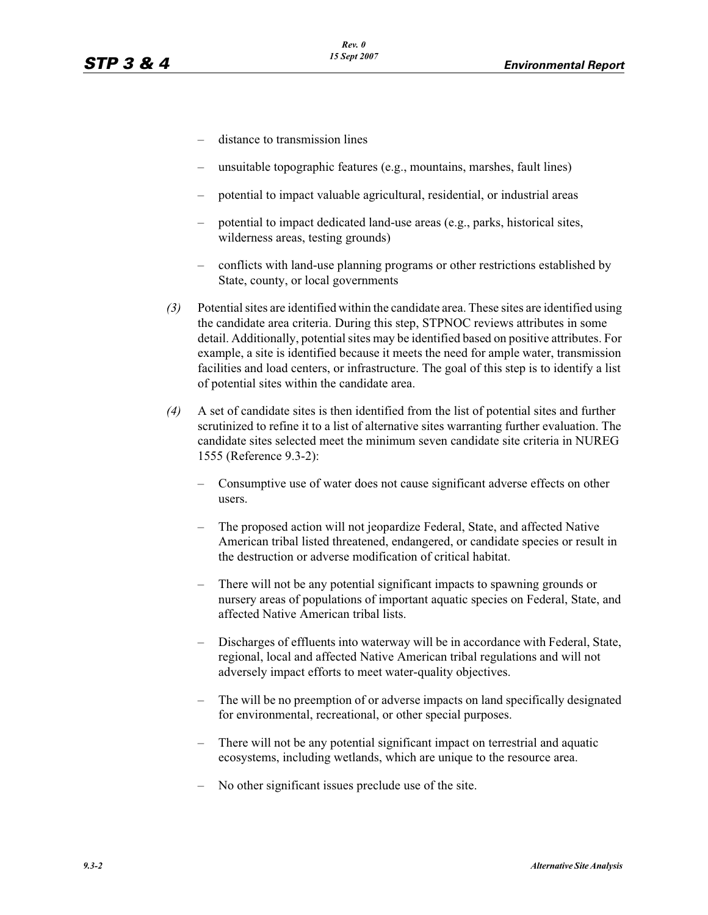- distance to transmission lines
- unsuitable topographic features (e.g., mountains, marshes, fault lines)
- potential to impact valuable agricultural, residential, or industrial areas
- potential to impact dedicated land-use areas (e.g., parks, historical sites, wilderness areas, testing grounds)
- conflicts with land-use planning programs or other restrictions established by State, county, or local governments
- *(3)* Potential sites are identified within the candidate area. These sites are identified using the candidate area criteria. During this step, STPNOC reviews attributes in some detail. Additionally, potential sites may be identified based on positive attributes. For example, a site is identified because it meets the need for ample water, transmission facilities and load centers, or infrastructure. The goal of this step is to identify a list of potential sites within the candidate area.
- *(4)* A set of candidate sites is then identified from the list of potential sites and further scrutinized to refine it to a list of alternative sites warranting further evaluation. The candidate sites selected meet the minimum seven candidate site criteria in NUREG 1555 (Reference 9.3-2):
	- Consumptive use of water does not cause significant adverse effects on other users.
	- The proposed action will not jeopardize Federal, State, and affected Native American tribal listed threatened, endangered, or candidate species or result in the destruction or adverse modification of critical habitat.
	- There will not be any potential significant impacts to spawning grounds or nursery areas of populations of important aquatic species on Federal, State, and affected Native American tribal lists.
	- Discharges of effluents into waterway will be in accordance with Federal, State, regional, local and affected Native American tribal regulations and will not adversely impact efforts to meet water-quality objectives.
	- The will be no preemption of or adverse impacts on land specifically designated for environmental, recreational, or other special purposes.
	- There will not be any potential significant impact on terrestrial and aquatic ecosystems, including wetlands, which are unique to the resource area.
	- No other significant issues preclude use of the site.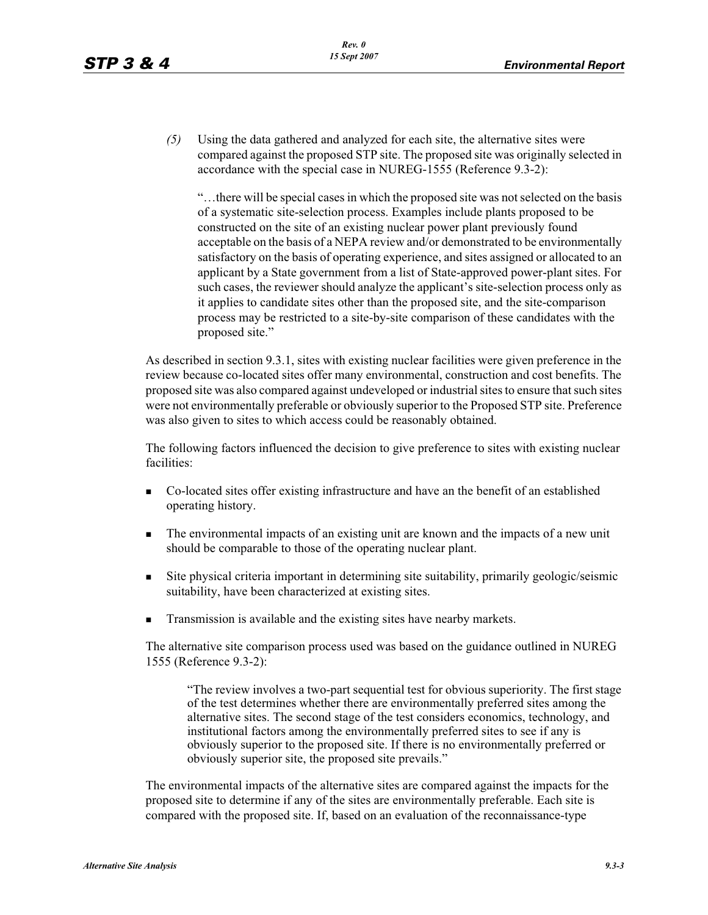*(5)* Using the data gathered and analyzed for each site, the alternative sites were compared against the proposed STP site. The proposed site was originally selected in accordance with the special case in NUREG-1555 (Reference 9.3-2):

"…there will be special cases in which the proposed site was not selected on the basis of a systematic site-selection process. Examples include plants proposed to be constructed on the site of an existing nuclear power plant previously found acceptable on the basis of a NEPA review and/or demonstrated to be environmentally satisfactory on the basis of operating experience, and sites assigned or allocated to an applicant by a State government from a list of State-approved power-plant sites. For such cases, the reviewer should analyze the applicant's site-selection process only as it applies to candidate sites other than the proposed site, and the site-comparison process may be restricted to a site-by-site comparison of these candidates with the proposed site."

As described in section 9.3.1, sites with existing nuclear facilities were given preference in the review because co-located sites offer many environmental, construction and cost benefits. The proposed site was also compared against undeveloped or industrial sites to ensure that such sites were not environmentally preferable or obviously superior to the Proposed STP site. Preference was also given to sites to which access could be reasonably obtained.

The following factors influenced the decision to give preference to sites with existing nuclear facilities:

- - Co-located sites offer existing infrastructure and have an the benefit of an established operating history.
- - The environmental impacts of an existing unit are known and the impacts of a new unit should be comparable to those of the operating nuclear plant.
- - Site physical criteria important in determining site suitability, primarily geologic/seismic suitability, have been characterized at existing sites.
- -Transmission is available and the existing sites have nearby markets.

The alternative site comparison process used was based on the guidance outlined in NUREG 1555 (Reference 9.3-2):

"The review involves a two-part sequential test for obvious superiority. The first stage of the test determines whether there are environmentally preferred sites among the alternative sites. The second stage of the test considers economics, technology, and institutional factors among the environmentally preferred sites to see if any is obviously superior to the proposed site. If there is no environmentally preferred or obviously superior site, the proposed site prevails."

The environmental impacts of the alternative sites are compared against the impacts for the proposed site to determine if any of the sites are environmentally preferable. Each site is compared with the proposed site. If, based on an evaluation of the reconnaissance-type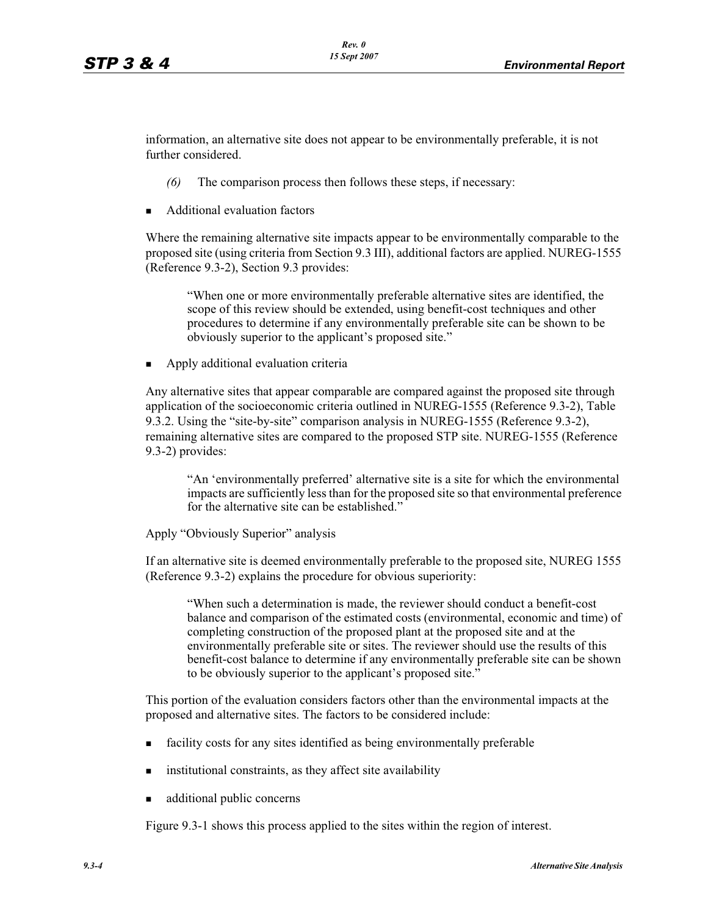information, an alternative site does not appear to be environmentally preferable, it is not further considered.

- *(6)* The comparison process then follows these steps, if necessary:
- -Additional evaluation factors

Where the remaining alternative site impacts appear to be environmentally comparable to the proposed site (using criteria from Section 9.3 III), additional factors are applied. NUREG-1555 (Reference 9.3-2), Section 9.3 provides:

"When one or more environmentally preferable alternative sites are identified, the scope of this review should be extended, using benefit-cost techniques and other procedures to determine if any environmentally preferable site can be shown to be obviously superior to the applicant's proposed site."

-Apply additional evaluation criteria

Any alternative sites that appear comparable are compared against the proposed site through application of the socioeconomic criteria outlined in NUREG-1555 (Reference 9.3-2), Table 9.3.2. Using the "site-by-site" comparison analysis in NUREG-1555 (Reference 9.3-2), remaining alternative sites are compared to the proposed STP site. NUREG-1555 (Reference 9.3-2) provides:

"An 'environmentally preferred' alternative site is a site for which the environmental impacts are sufficiently less than for the proposed site so that environmental preference for the alternative site can be established."

Apply "Obviously Superior" analysis

If an alternative site is deemed environmentally preferable to the proposed site, NUREG 1555 (Reference 9.3-2) explains the procedure for obvious superiority:

"When such a determination is made, the reviewer should conduct a benefit-cost balance and comparison of the estimated costs (environmental, economic and time) of completing construction of the proposed plant at the proposed site and at the environmentally preferable site or sites. The reviewer should use the results of this benefit-cost balance to determine if any environmentally preferable site can be shown to be obviously superior to the applicant's proposed site."

This portion of the evaluation considers factors other than the environmental impacts at the proposed and alternative sites. The factors to be considered include:

- facility costs for any sites identified as being environmentally preferable
- institutional constraints, as they affect site availability
- additional public concerns

Figure 9.3-1 shows this process applied to the sites within the region of interest.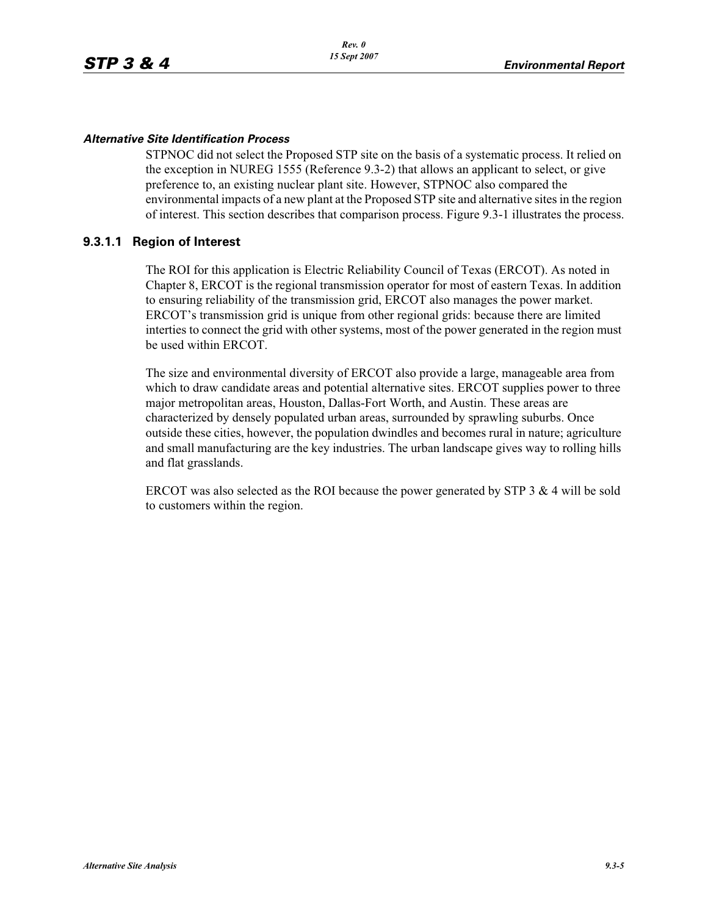#### *Alternative Site Identification Process*

STPNOC did not select the Proposed STP site on the basis of a systematic process. It relied on the exception in NUREG 1555 (Reference 9.3-2) that allows an applicant to select, or give preference to, an existing nuclear plant site. However, STPNOC also compared the environmental impacts of a new plant at the Proposed STP site and alternative sites in the region of interest. This section describes that comparison process. Figure 9.3-1 illustrates the process.

#### **9.3.1.1 Region of Interest**

The ROI for this application is Electric Reliability Council of Texas (ERCOT). As noted in Chapter 8, ERCOT is the regional transmission operator for most of eastern Texas. In addition to ensuring reliability of the transmission grid, ERCOT also manages the power market. ERCOT's transmission grid is unique from other regional grids: because there are limited interties to connect the grid with other systems, most of the power generated in the region must be used within ERCOT.

The size and environmental diversity of ERCOT also provide a large, manageable area from which to draw candidate areas and potential alternative sites. ERCOT supplies power to three major metropolitan areas, Houston, Dallas-Fort Worth, and Austin. These areas are characterized by densely populated urban areas, surrounded by sprawling suburbs. Once outside these cities, however, the population dwindles and becomes rural in nature; agriculture and small manufacturing are the key industries. The urban landscape gives way to rolling hills and flat grasslands.

ERCOT was also selected as the ROI because the power generated by STP 3  $\&$  4 will be sold to customers within the region.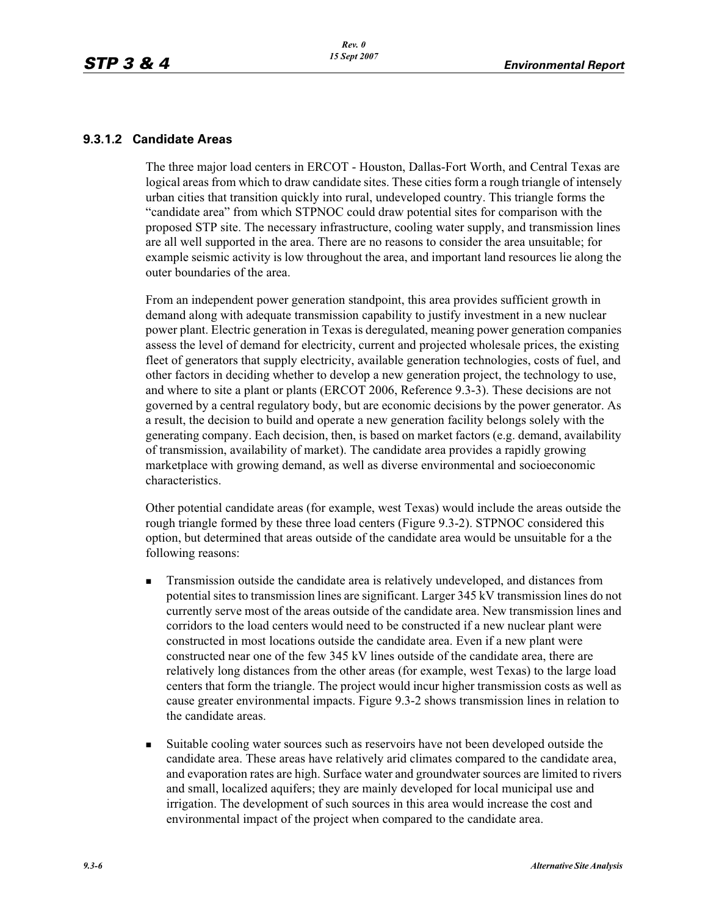#### **9.3.1.2 Candidate Areas**

The three major load centers in ERCOT - Houston, Dallas-Fort Worth, and Central Texas are logical areas from which to draw candidate sites. These cities form a rough triangle of intensely urban cities that transition quickly into rural, undeveloped country. This triangle forms the "candidate area" from which STPNOC could draw potential sites for comparison with the proposed STP site. The necessary infrastructure, cooling water supply, and transmission lines are all well supported in the area. There are no reasons to consider the area unsuitable; for example seismic activity is low throughout the area, and important land resources lie along the outer boundaries of the area.

From an independent power generation standpoint, this area provides sufficient growth in demand along with adequate transmission capability to justify investment in a new nuclear power plant. Electric generation in Texas is deregulated, meaning power generation companies assess the level of demand for electricity, current and projected wholesale prices, the existing fleet of generators that supply electricity, available generation technologies, costs of fuel, and other factors in deciding whether to develop a new generation project, the technology to use, and where to site a plant or plants (ERCOT 2006, Reference 9.3-3). These decisions are not governed by a central regulatory body, but are economic decisions by the power generator. As a result, the decision to build and operate a new generation facility belongs solely with the generating company. Each decision, then, is based on market factors (e.g. demand, availability of transmission, availability of market). The candidate area provides a rapidly growing marketplace with growing demand, as well as diverse environmental and socioeconomic characteristics.

Other potential candidate areas (for example, west Texas) would include the areas outside the rough triangle formed by these three load centers (Figure 9.3-2). STPNOC considered this option, but determined that areas outside of the candidate area would be unsuitable for a the following reasons:

- - Transmission outside the candidate area is relatively undeveloped, and distances from potential sites to transmission lines are significant. Larger 345 kV transmission lines do not currently serve most of the areas outside of the candidate area. New transmission lines and corridors to the load centers would need to be constructed if a new nuclear plant were constructed in most locations outside the candidate area. Even if a new plant were constructed near one of the few 345 kV lines outside of the candidate area, there are relatively long distances from the other areas (for example, west Texas) to the large load centers that form the triangle. The project would incur higher transmission costs as well as cause greater environmental impacts. Figure 9.3-2 shows transmission lines in relation to the candidate areas.
- - Suitable cooling water sources such as reservoirs have not been developed outside the candidate area. These areas have relatively arid climates compared to the candidate area, and evaporation rates are high. Surface water and groundwater sources are limited to rivers and small, localized aquifers; they are mainly developed for local municipal use and irrigation. The development of such sources in this area would increase the cost and environmental impact of the project when compared to the candidate area.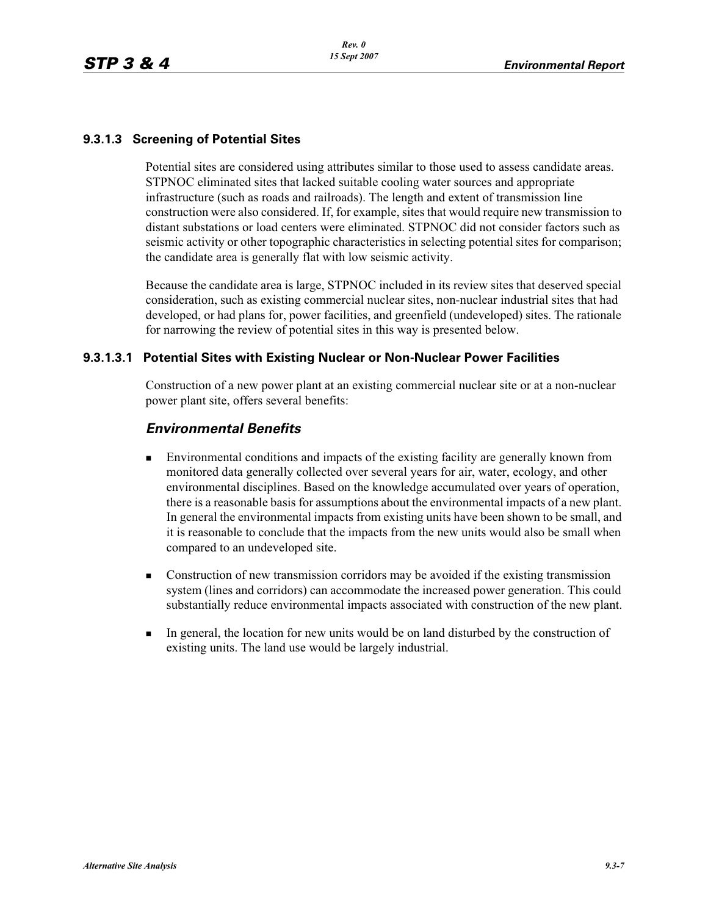## **9.3.1.3 Screening of Potential Sites**

Potential sites are considered using attributes similar to those used to assess candidate areas. STPNOC eliminated sites that lacked suitable cooling water sources and appropriate infrastructure (such as roads and railroads). The length and extent of transmission line construction were also considered. If, for example, sites that would require new transmission to distant substations or load centers were eliminated. STPNOC did not consider factors such as seismic activity or other topographic characteristics in selecting potential sites for comparison; the candidate area is generally flat with low seismic activity.

Because the candidate area is large, STPNOC included in its review sites that deserved special consideration, such as existing commercial nuclear sites, non-nuclear industrial sites that had developed, or had plans for, power facilities, and greenfield (undeveloped) sites. The rationale for narrowing the review of potential sites in this way is presented below.

#### **9.3.1.3.1 Potential Sites with Existing Nuclear or Non-Nuclear Power Facilities**

Construction of a new power plant at an existing commercial nuclear site or at a non-nuclear power plant site, offers several benefits:

## *Environmental Benefits*

- - Environmental conditions and impacts of the existing facility are generally known from monitored data generally collected over several years for air, water, ecology, and other environmental disciplines. Based on the knowledge accumulated over years of operation, there is a reasonable basis for assumptions about the environmental impacts of a new plant. In general the environmental impacts from existing units have been shown to be small, and it is reasonable to conclude that the impacts from the new units would also be small when compared to an undeveloped site.
- - Construction of new transmission corridors may be avoided if the existing transmission system (lines and corridors) can accommodate the increased power generation. This could substantially reduce environmental impacts associated with construction of the new plant.
- - In general, the location for new units would be on land disturbed by the construction of existing units. The land use would be largely industrial.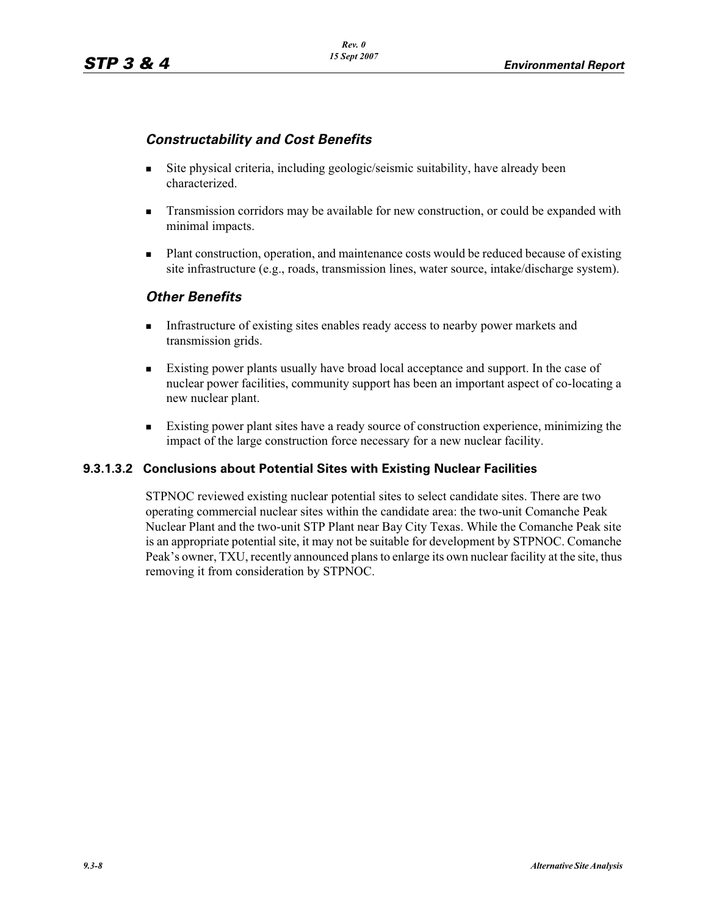## *Constructability and Cost Benefits*

- - Site physical criteria, including geologic/seismic suitability, have already been characterized.
- - Transmission corridors may be available for new construction, or could be expanded with minimal impacts.
- - Plant construction, operation, and maintenance costs would be reduced because of existing site infrastructure (e.g., roads, transmission lines, water source, intake/discharge system).

## *Other Benefits*

- - Infrastructure of existing sites enables ready access to nearby power markets and transmission grids.
- - Existing power plants usually have broad local acceptance and support. In the case of nuclear power facilities, community support has been an important aspect of co-locating a new nuclear plant.
- - Existing power plant sites have a ready source of construction experience, minimizing the impact of the large construction force necessary for a new nuclear facility.

## **9.3.1.3.2 Conclusions about Potential Sites with Existing Nuclear Facilities**

STPNOC reviewed existing nuclear potential sites to select candidate sites. There are two operating commercial nuclear sites within the candidate area: the two-unit Comanche Peak Nuclear Plant and the two-unit STP Plant near Bay City Texas. While the Comanche Peak site is an appropriate potential site, it may not be suitable for development by STPNOC. Comanche Peak's owner, TXU, recently announced plans to enlarge its own nuclear facility at the site, thus removing it from consideration by STPNOC.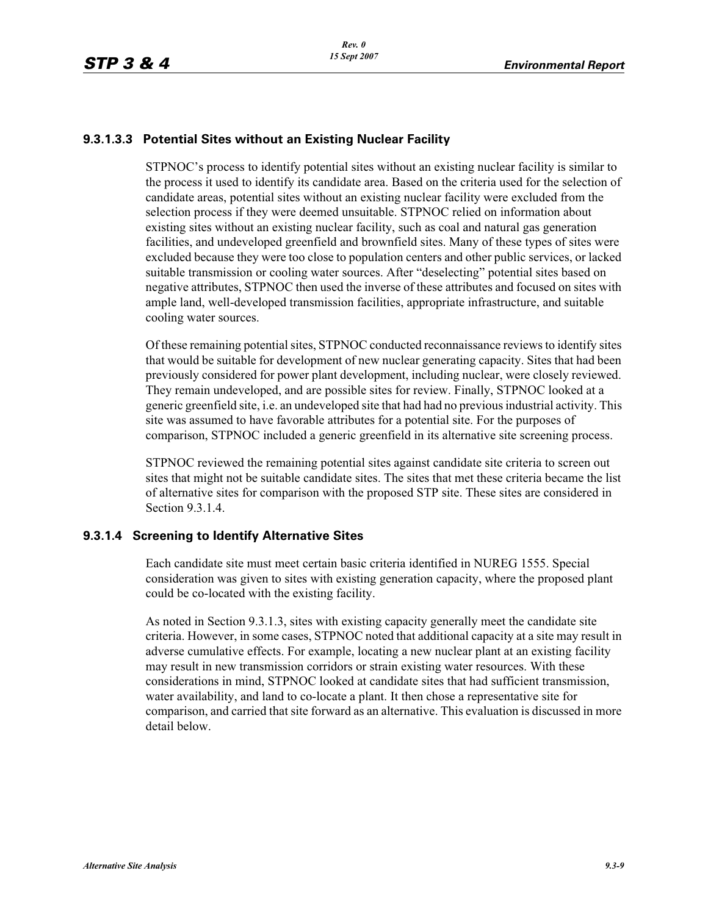## **9.3.1.3.3 Potential Sites without an Existing Nuclear Facility**

STPNOC's process to identify potential sites without an existing nuclear facility is similar to the process it used to identify its candidate area. Based on the criteria used for the selection of candidate areas, potential sites without an existing nuclear facility were excluded from the selection process if they were deemed unsuitable. STPNOC relied on information about existing sites without an existing nuclear facility, such as coal and natural gas generation facilities, and undeveloped greenfield and brownfield sites. Many of these types of sites were excluded because they were too close to population centers and other public services, or lacked suitable transmission or cooling water sources. After "deselecting" potential sites based on negative attributes, STPNOC then used the inverse of these attributes and focused on sites with ample land, well-developed transmission facilities, appropriate infrastructure, and suitable cooling water sources.

Of these remaining potential sites, STPNOC conducted reconnaissance reviews to identify sites that would be suitable for development of new nuclear generating capacity. Sites that had been previously considered for power plant development, including nuclear, were closely reviewed. They remain undeveloped, and are possible sites for review. Finally, STPNOC looked at a generic greenfield site, i.e. an undeveloped site that had had no previous industrial activity. This site was assumed to have favorable attributes for a potential site. For the purposes of comparison, STPNOC included a generic greenfield in its alternative site screening process.

STPNOC reviewed the remaining potential sites against candidate site criteria to screen out sites that might not be suitable candidate sites. The sites that met these criteria became the list of alternative sites for comparison with the proposed STP site. These sites are considered in Section 9.3.1.4.

#### **9.3.1.4 Screening to Identify Alternative Sites**

Each candidate site must meet certain basic criteria identified in NUREG 1555. Special consideration was given to sites with existing generation capacity, where the proposed plant could be co-located with the existing facility.

As noted in Section 9.3.1.3, sites with existing capacity generally meet the candidate site criteria. However, in some cases, STPNOC noted that additional capacity at a site may result in adverse cumulative effects. For example, locating a new nuclear plant at an existing facility may result in new transmission corridors or strain existing water resources. With these considerations in mind, STPNOC looked at candidate sites that had sufficient transmission, water availability, and land to co-locate a plant. It then chose a representative site for comparison, and carried that site forward as an alternative. This evaluation is discussed in more detail below.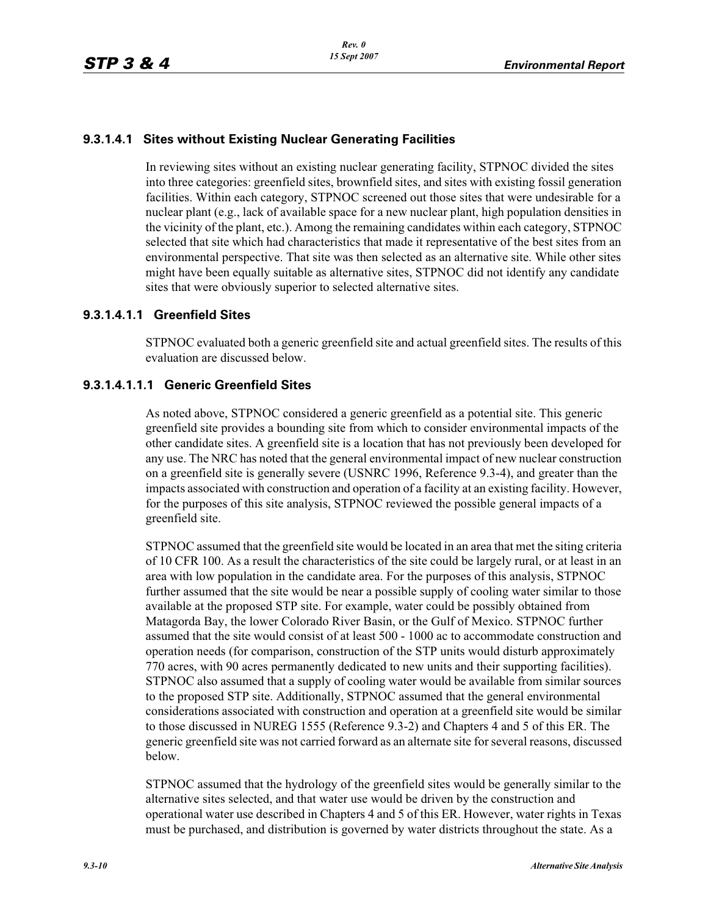## **9.3.1.4.1 Sites without Existing Nuclear Generating Facilities**

In reviewing sites without an existing nuclear generating facility, STPNOC divided the sites into three categories: greenfield sites, brownfield sites, and sites with existing fossil generation facilities. Within each category, STPNOC screened out those sites that were undesirable for a nuclear plant (e.g., lack of available space for a new nuclear plant, high population densities in the vicinity of the plant, etc.). Among the remaining candidates within each category, STPNOC selected that site which had characteristics that made it representative of the best sites from an environmental perspective. That site was then selected as an alternative site. While other sites might have been equally suitable as alternative sites, STPNOC did not identify any candidate sites that were obviously superior to selected alternative sites.

## **9.3.1.4.1.1 Greenfield Sites**

STPNOC evaluated both a generic greenfield site and actual greenfield sites. The results of this evaluation are discussed below.

#### **9.3.1.4.1.1.1 Generic Greenfield Sites**

As noted above, STPNOC considered a generic greenfield as a potential site. This generic greenfield site provides a bounding site from which to consider environmental impacts of the other candidate sites. A greenfield site is a location that has not previously been developed for any use. The NRC has noted that the general environmental impact of new nuclear construction on a greenfield site is generally severe (USNRC 1996, Reference 9.3-4), and greater than the impacts associated with construction and operation of a facility at an existing facility. However, for the purposes of this site analysis, STPNOC reviewed the possible general impacts of a greenfield site.

STPNOC assumed that the greenfield site would be located in an area that met the siting criteria of 10 CFR 100. As a result the characteristics of the site could be largely rural, or at least in an area with low population in the candidate area. For the purposes of this analysis, STPNOC further assumed that the site would be near a possible supply of cooling water similar to those available at the proposed STP site. For example, water could be possibly obtained from Matagorda Bay, the lower Colorado River Basin, or the Gulf of Mexico. STPNOC further assumed that the site would consist of at least 500 - 1000 ac to accommodate construction and operation needs (for comparison, construction of the STP units would disturb approximately 770 acres, with 90 acres permanently dedicated to new units and their supporting facilities). STPNOC also assumed that a supply of cooling water would be available from similar sources to the proposed STP site. Additionally, STPNOC assumed that the general environmental considerations associated with construction and operation at a greenfield site would be similar to those discussed in NUREG 1555 (Reference 9.3-2) and Chapters 4 and 5 of this ER. The generic greenfield site was not carried forward as an alternate site for several reasons, discussed below.

STPNOC assumed that the hydrology of the greenfield sites would be generally similar to the alternative sites selected, and that water use would be driven by the construction and operational water use described in Chapters 4 and 5 of this ER. However, water rights in Texas must be purchased, and distribution is governed by water districts throughout the state. As a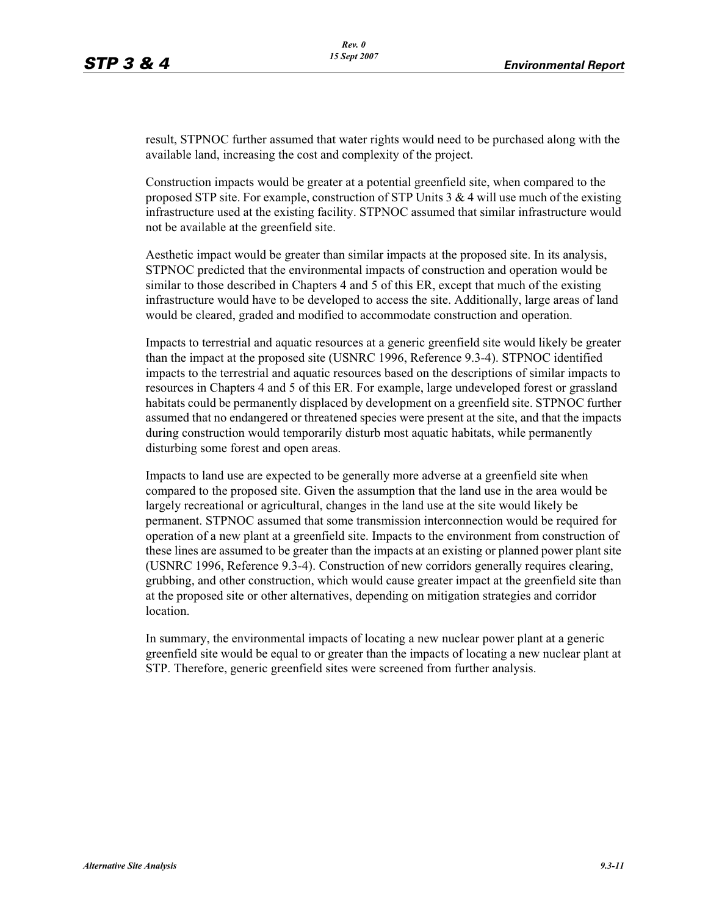result, STPNOC further assumed that water rights would need to be purchased along with the available land, increasing the cost and complexity of the project.

Construction impacts would be greater at a potential greenfield site, when compared to the proposed STP site. For example, construction of STP Units  $3 \& 4$  will use much of the existing infrastructure used at the existing facility. STPNOC assumed that similar infrastructure would not be available at the greenfield site.

Aesthetic impact would be greater than similar impacts at the proposed site. In its analysis, STPNOC predicted that the environmental impacts of construction and operation would be similar to those described in Chapters 4 and 5 of this ER, except that much of the existing infrastructure would have to be developed to access the site. Additionally, large areas of land would be cleared, graded and modified to accommodate construction and operation.

Impacts to terrestrial and aquatic resources at a generic greenfield site would likely be greater than the impact at the proposed site (USNRC 1996, Reference 9.3-4). STPNOC identified impacts to the terrestrial and aquatic resources based on the descriptions of similar impacts to resources in Chapters 4 and 5 of this ER. For example, large undeveloped forest or grassland habitats could be permanently displaced by development on a greenfield site. STPNOC further assumed that no endangered or threatened species were present at the site, and that the impacts during construction would temporarily disturb most aquatic habitats, while permanently disturbing some forest and open areas.

Impacts to land use are expected to be generally more adverse at a greenfield site when compared to the proposed site. Given the assumption that the land use in the area would be largely recreational or agricultural, changes in the land use at the site would likely be permanent. STPNOC assumed that some transmission interconnection would be required for operation of a new plant at a greenfield site. Impacts to the environment from construction of these lines are assumed to be greater than the impacts at an existing or planned power plant site (USNRC 1996, Reference 9.3-4). Construction of new corridors generally requires clearing, grubbing, and other construction, which would cause greater impact at the greenfield site than at the proposed site or other alternatives, depending on mitigation strategies and corridor location.

In summary, the environmental impacts of locating a new nuclear power plant at a generic greenfield site would be equal to or greater than the impacts of locating a new nuclear plant at STP. Therefore, generic greenfield sites were screened from further analysis.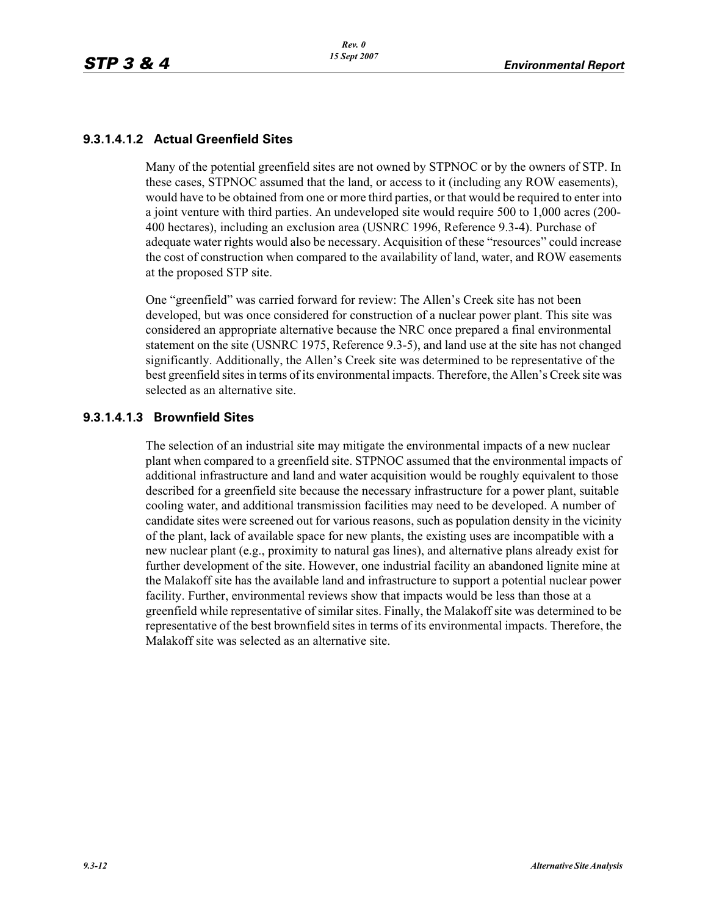## **9.3.1.4.1.2 Actual Greenfield Sites**

Many of the potential greenfield sites are not owned by STPNOC or by the owners of STP. In these cases, STPNOC assumed that the land, or access to it (including any ROW easements), would have to be obtained from one or more third parties, or that would be required to enter into a joint venture with third parties. An undeveloped site would require 500 to 1,000 acres (200- 400 hectares), including an exclusion area (USNRC 1996, Reference 9.3-4). Purchase of adequate water rights would also be necessary. Acquisition of these "resources" could increase the cost of construction when compared to the availability of land, water, and ROW easements at the proposed STP site.

One "greenfield" was carried forward for review: The Allen's Creek site has not been developed, but was once considered for construction of a nuclear power plant. This site was considered an appropriate alternative because the NRC once prepared a final environmental statement on the site (USNRC 1975, Reference 9.3-5), and land use at the site has not changed significantly. Additionally, the Allen's Creek site was determined to be representative of the best greenfield sites in terms of its environmental impacts. Therefore, the Allen's Creek site was selected as an alternative site.

#### **9.3.1.4.1.3 Brownfield Sites**

The selection of an industrial site may mitigate the environmental impacts of a new nuclear plant when compared to a greenfield site. STPNOC assumed that the environmental impacts of additional infrastructure and land and water acquisition would be roughly equivalent to those described for a greenfield site because the necessary infrastructure for a power plant, suitable cooling water, and additional transmission facilities may need to be developed. A number of candidate sites were screened out for various reasons, such as population density in the vicinity of the plant, lack of available space for new plants, the existing uses are incompatible with a new nuclear plant (e.g., proximity to natural gas lines), and alternative plans already exist for further development of the site. However, one industrial facility an abandoned lignite mine at the Malakoff site has the available land and infrastructure to support a potential nuclear power facility. Further, environmental reviews show that impacts would be less than those at a greenfield while representative of similar sites. Finally, the Malakoff site was determined to be representative of the best brownfield sites in terms of its environmental impacts. Therefore, the Malakoff site was selected as an alternative site.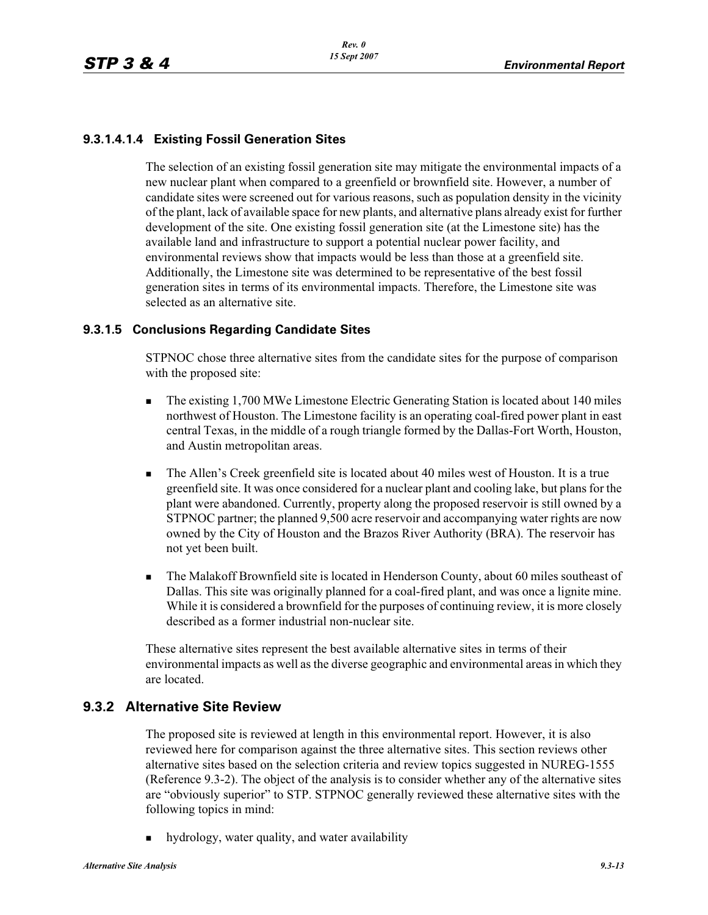## **9.3.1.4.1.4 Existing Fossil Generation Sites**

The selection of an existing fossil generation site may mitigate the environmental impacts of a new nuclear plant when compared to a greenfield or brownfield site. However, a number of candidate sites were screened out for various reasons, such as population density in the vicinity of the plant, lack of available space for new plants, and alternative plans already exist for further development of the site. One existing fossil generation site (at the Limestone site) has the available land and infrastructure to support a potential nuclear power facility, and environmental reviews show that impacts would be less than those at a greenfield site. Additionally, the Limestone site was determined to be representative of the best fossil generation sites in terms of its environmental impacts. Therefore, the Limestone site was selected as an alternative site.

#### **9.3.1.5 Conclusions Regarding Candidate Sites**

STPNOC chose three alternative sites from the candidate sites for the purpose of comparison with the proposed site:

- - The existing 1,700 MWe Limestone Electric Generating Station is located about 140 miles northwest of Houston. The Limestone facility is an operating coal-fired power plant in east central Texas, in the middle of a rough triangle formed by the Dallas-Fort Worth, Houston, and Austin metropolitan areas.
- - The Allen's Creek greenfield site is located about 40 miles west of Houston. It is a true greenfield site. It was once considered for a nuclear plant and cooling lake, but plans for the plant were abandoned. Currently, property along the proposed reservoir is still owned by a STPNOC partner; the planned 9,500 acre reservoir and accompanying water rights are now owned by the City of Houston and the Brazos River Authority (BRA). The reservoir has not yet been built.
- - The Malakoff Brownfield site is located in Henderson County, about 60 miles southeast of Dallas. This site was originally planned for a coal-fired plant, and was once a lignite mine. While it is considered a brownfield for the purposes of continuing review, it is more closely described as a former industrial non-nuclear site.

These alternative sites represent the best available alternative sites in terms of their environmental impacts as well as the diverse geographic and environmental areas in which they are located.

## **9.3.2 Alternative Site Review**

The proposed site is reviewed at length in this environmental report. However, it is also reviewed here for comparison against the three alternative sites. This section reviews other alternative sites based on the selection criteria and review topics suggested in NUREG-1555 (Reference 9.3-2). The object of the analysis is to consider whether any of the alternative sites are "obviously superior" to STP. STPNOC generally reviewed these alternative sites with the following topics in mind:

hydrology, water quality, and water availability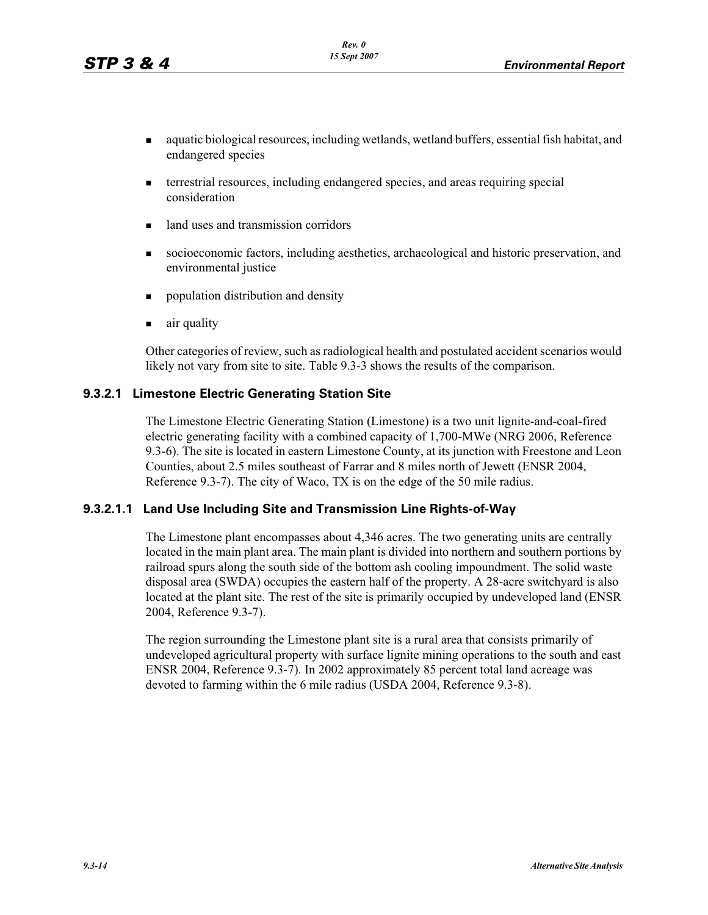- aquatic biological resources, including wetlands, wetland buffers, essential fish habitat, and endangered species
- terrestrial resources, including endangered species, and areas requiring special consideration
- land uses and transmission corridors
- socioeconomic factors, including aesthetics, archaeological and historic preservation, and environmental justice
- population distribution and density
- air quality

Other categories of review, such as radiological health and postulated accident scenarios would likely not vary from site to site. Table 9.3-3 shows the results of the comparison.

#### **9.3.2.1 Limestone Electric Generating Station Site**

The Limestone Electric Generating Station (Limestone) is a two unit lignite-and-coal-fired electric generating facility with a combined capacity of 1,700-MWe (NRG 2006, Reference 9.3-6). The site is located in eastern Limestone County, at its junction with Freestone and Leon Counties, about 2.5 miles southeast of Farrar and 8 miles north of Jewett (ENSR 2004, Reference 9.3-7). The city of Waco, TX is on the edge of the 50 mile radius.

## **9.3.2.1.1 Land Use Including Site and Transmission Line Rights-of-Way**

The Limestone plant encompasses about 4,346 acres. The two generating units are centrally located in the main plant area. The main plant is divided into northern and southern portions by railroad spurs along the south side of the bottom ash cooling impoundment. The solid waste disposal area (SWDA) occupies the eastern half of the property. A 28-acre switchyard is also located at the plant site. The rest of the site is primarily occupied by undeveloped land (ENSR 2004, Reference 9.3-7).

The region surrounding the Limestone plant site is a rural area that consists primarily of undeveloped agricultural property with surface lignite mining operations to the south and east ENSR 2004, Reference 9.3-7). In 2002 approximately 85 percent total land acreage was devoted to farming within the 6 mile radius (USDA 2004, Reference 9.3-8).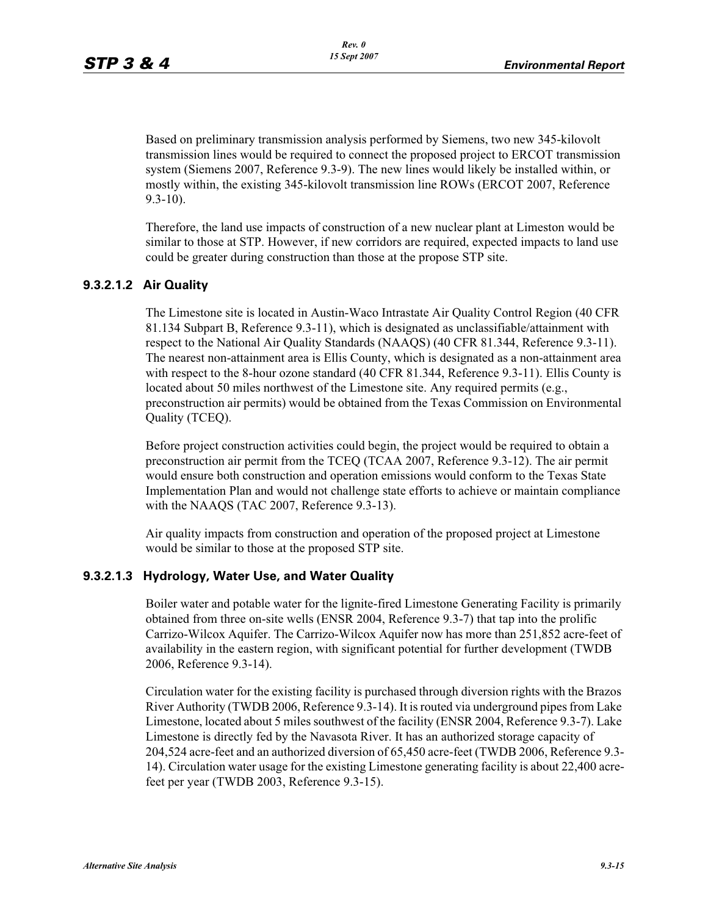Based on preliminary transmission analysis performed by Siemens, two new 345-kilovolt transmission lines would be required to connect the proposed project to ERCOT transmission system (Siemens 2007, Reference 9.3-9). The new lines would likely be installed within, or mostly within, the existing 345-kilovolt transmission line ROWs (ERCOT 2007, Reference 9.3-10).

Therefore, the land use impacts of construction of a new nuclear plant at Limeston would be similar to those at STP. However, if new corridors are required, expected impacts to land use could be greater during construction than those at the propose STP site.

## **9.3.2.1.2 Air Quality**

The Limestone site is located in Austin-Waco Intrastate Air Quality Control Region (40 CFR 81.134 Subpart B, Reference 9.3-11), which is designated as unclassifiable/attainment with respect to the National Air Quality Standards (NAAQS) (40 CFR 81.344, Reference 9.3-11). The nearest non-attainment area is Ellis County, which is designated as a non-attainment area with respect to the 8-hour ozone standard (40 CFR 81.344, Reference 9.3-11). Ellis County is located about 50 miles northwest of the Limestone site. Any required permits (e.g., preconstruction air permits) would be obtained from the Texas Commission on Environmental Quality (TCEQ).

Before project construction activities could begin, the project would be required to obtain a preconstruction air permit from the TCEQ (TCAA 2007, Reference 9.3-12). The air permit would ensure both construction and operation emissions would conform to the Texas State Implementation Plan and would not challenge state efforts to achieve or maintain compliance with the NAAQS (TAC 2007, Reference 9.3-13).

Air quality impacts from construction and operation of the proposed project at Limestone would be similar to those at the proposed STP site.

#### **9.3.2.1.3 Hydrology, Water Use, and Water Quality**

Boiler water and potable water for the lignite-fired Limestone Generating Facility is primarily obtained from three on-site wells (ENSR 2004, Reference 9.3-7) that tap into the prolific Carrizo-Wilcox Aquifer. The Carrizo-Wilcox Aquifer now has more than 251,852 acre-feet of availability in the eastern region, with significant potential for further development (TWDB 2006, Reference 9.3-14).

Circulation water for the existing facility is purchased through diversion rights with the Brazos River Authority (TWDB 2006, Reference 9.3-14). It is routed via underground pipes from Lake Limestone, located about 5 miles southwest of the facility (ENSR 2004, Reference 9.3-7). Lake Limestone is directly fed by the Navasota River. It has an authorized storage capacity of 204,524 acre-feet and an authorized diversion of 65,450 acre-feet (TWDB 2006, Reference 9.3- 14). Circulation water usage for the existing Limestone generating facility is about 22,400 acrefeet per year (TWDB 2003, Reference 9.3-15).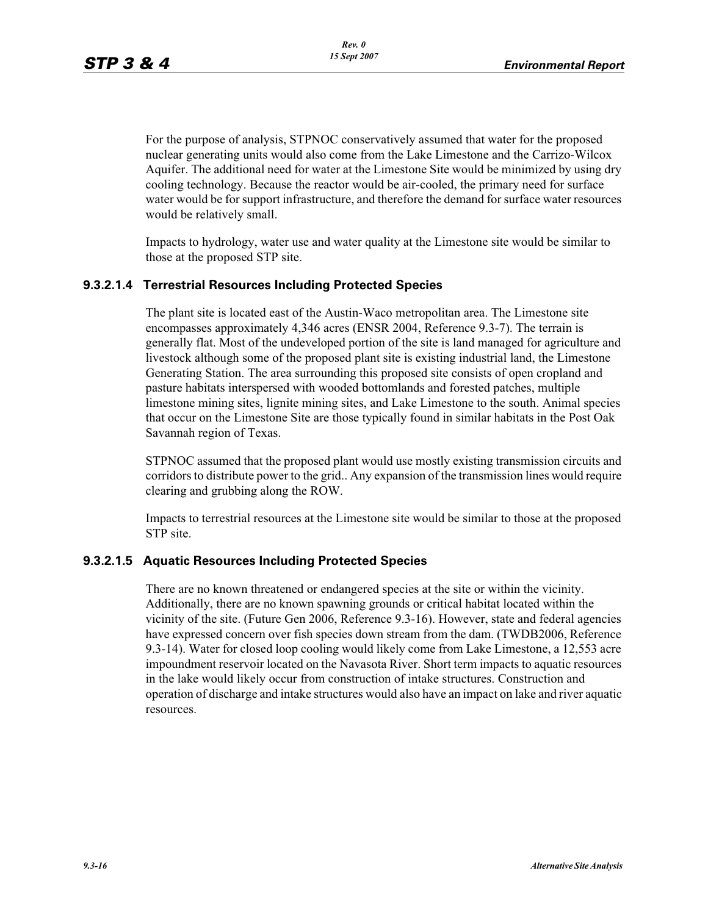For the purpose of analysis, STPNOC conservatively assumed that water for the proposed nuclear generating units would also come from the Lake Limestone and the Carrizo-Wilcox Aquifer. The additional need for water at the Limestone Site would be minimized by using dry cooling technology. Because the reactor would be air-cooled, the primary need for surface water would be for support infrastructure, and therefore the demand for surface water resources would be relatively small.

Impacts to hydrology, water use and water quality at the Limestone site would be similar to those at the proposed STP site.

#### **9.3.2.1.4 Terrestrial Resources Including Protected Species**

The plant site is located east of the Austin-Waco metropolitan area. The Limestone site encompasses approximately 4,346 acres (ENSR 2004, Reference 9.3-7). The terrain is generally flat. Most of the undeveloped portion of the site is land managed for agriculture and livestock although some of the proposed plant site is existing industrial land, the Limestone Generating Station. The area surrounding this proposed site consists of open cropland and pasture habitats interspersed with wooded bottomlands and forested patches, multiple limestone mining sites, lignite mining sites, and Lake Limestone to the south. Animal species that occur on the Limestone Site are those typically found in similar habitats in the Post Oak Savannah region of Texas.

STPNOC assumed that the proposed plant would use mostly existing transmission circuits and corridors to distribute power to the grid.. Any expansion of the transmission lines would require clearing and grubbing along the ROW.

Impacts to terrestrial resources at the Limestone site would be similar to those at the proposed STP site.

#### **9.3.2.1.5 Aquatic Resources Including Protected Species**

There are no known threatened or endangered species at the site or within the vicinity. Additionally, there are no known spawning grounds or critical habitat located within the vicinity of the site. (Future Gen 2006, Reference 9.3-16). However, state and federal agencies have expressed concern over fish species down stream from the dam. (TWDB2006, Reference 9.3-14). Water for closed loop cooling would likely come from Lake Limestone, a 12,553 acre impoundment reservoir located on the Navasota River. Short term impacts to aquatic resources in the lake would likely occur from construction of intake structures. Construction and operation of discharge and intake structures would also have an impact on lake and river aquatic resources.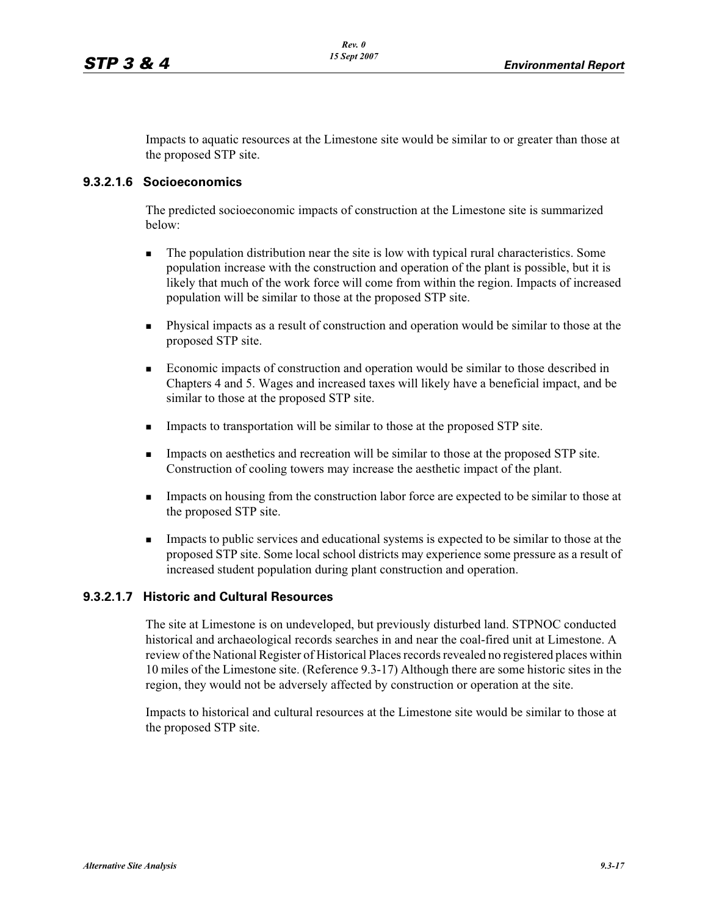Impacts to aquatic resources at the Limestone site would be similar to or greater than those at the proposed STP site.

#### **9.3.2.1.6 Socioeconomics**

The predicted socioeconomic impacts of construction at the Limestone site is summarized below:

- - The population distribution near the site is low with typical rural characteristics. Some population increase with the construction and operation of the plant is possible, but it is likely that much of the work force will come from within the region. Impacts of increased population will be similar to those at the proposed STP site.
- - Physical impacts as a result of construction and operation would be similar to those at the proposed STP site.
- - Economic impacts of construction and operation would be similar to those described in Chapters 4 and 5. Wages and increased taxes will likely have a beneficial impact, and be similar to those at the proposed STP site.
- -Impacts to transportation will be similar to those at the proposed STP site.
- - Impacts on aesthetics and recreation will be similar to those at the proposed STP site. Construction of cooling towers may increase the aesthetic impact of the plant.
- - Impacts on housing from the construction labor force are expected to be similar to those at the proposed STP site.
- - Impacts to public services and educational systems is expected to be similar to those at the proposed STP site. Some local school districts may experience some pressure as a result of increased student population during plant construction and operation.

#### **9.3.2.1.7 Historic and Cultural Resources**

The site at Limestone is on undeveloped, but previously disturbed land. STPNOC conducted historical and archaeological records searches in and near the coal-fired unit at Limestone. A review of the National Register of Historical Places records revealed no registered places within 10 miles of the Limestone site. (Reference 9.3-17) Although there are some historic sites in the region, they would not be adversely affected by construction or operation at the site.

Impacts to historical and cultural resources at the Limestone site would be similar to those at the proposed STP site.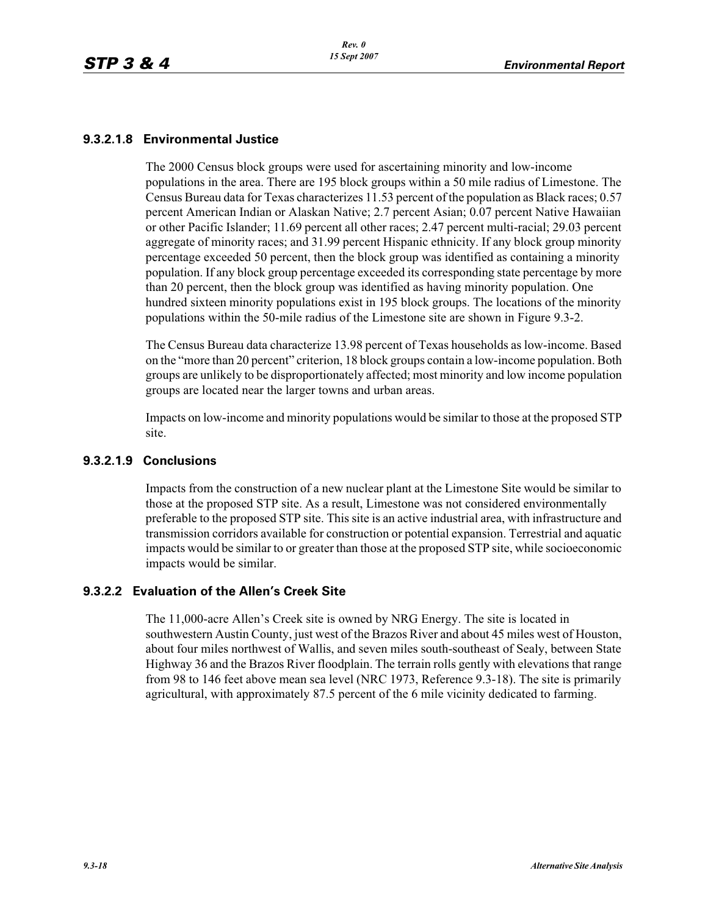## **9.3.2.1.8 Environmental Justice**

The 2000 Census block groups were used for ascertaining minority and low-income populations in the area. There are 195 block groups within a 50 mile radius of Limestone. The Census Bureau data for Texas characterizes 11.53 percent of the population as Black races; 0.57 percent American Indian or Alaskan Native; 2.7 percent Asian; 0.07 percent Native Hawaiian or other Pacific Islander; 11.69 percent all other races; 2.47 percent multi-racial; 29.03 percent aggregate of minority races; and 31.99 percent Hispanic ethnicity. If any block group minority percentage exceeded 50 percent, then the block group was identified as containing a minority population. If any block group percentage exceeded its corresponding state percentage by more than 20 percent, then the block group was identified as having minority population. One hundred sixteen minority populations exist in 195 block groups. The locations of the minority populations within the 50-mile radius of the Limestone site are shown in Figure 9.3-2.

The Census Bureau data characterize 13.98 percent of Texas households as low-income. Based on the "more than 20 percent" criterion, 18 block groups contain a low-income population. Both groups are unlikely to be disproportionately affected; most minority and low income population groups are located near the larger towns and urban areas.

Impacts on low-income and minority populations would be similar to those at the proposed STP site.

#### **9.3.2.1.9 Conclusions**

Impacts from the construction of a new nuclear plant at the Limestone Site would be similar to those at the proposed STP site. As a result, Limestone was not considered environmentally preferable to the proposed STP site. This site is an active industrial area, with infrastructure and transmission corridors available for construction or potential expansion. Terrestrial and aquatic impacts would be similar to or greater than those at the proposed STP site, while socioeconomic impacts would be similar.

## **9.3.2.2 Evaluation of the Allen's Creek Site**

The 11,000-acre Allen's Creek site is owned by NRG Energy. The site is located in southwestern Austin County, just west of the Brazos River and about 45 miles west of Houston, about four miles northwest of Wallis, and seven miles south-southeast of Sealy, between State Highway 36 and the Brazos River floodplain. The terrain rolls gently with elevations that range from 98 to 146 feet above mean sea level (NRC 1973, Reference 9.3-18). The site is primarily agricultural, with approximately 87.5 percent of the 6 mile vicinity dedicated to farming.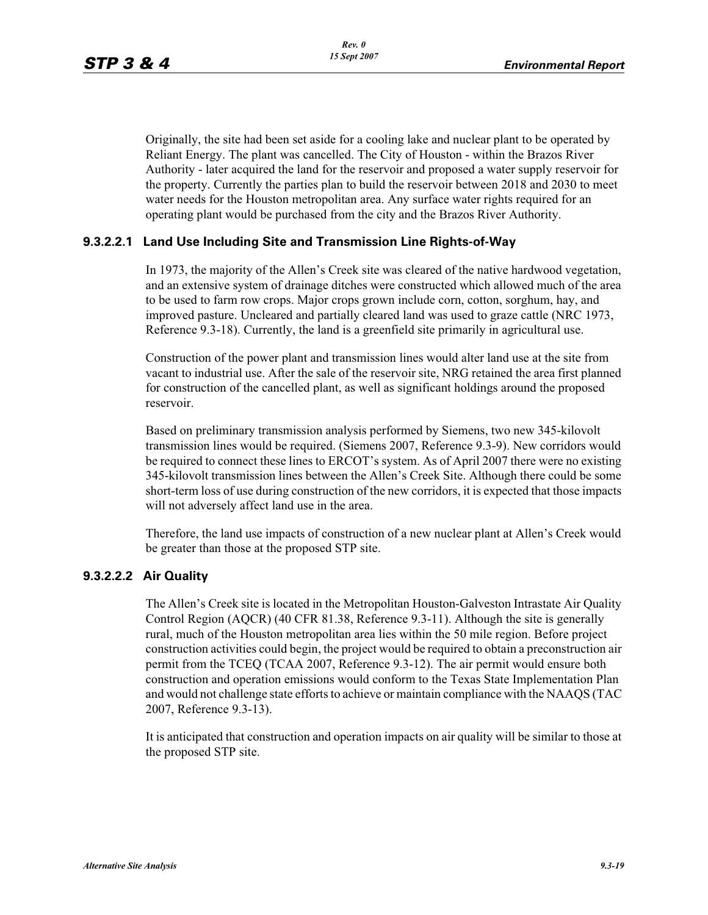Originally, the site had been set aside for a cooling lake and nuclear plant to be operated by Reliant Energy. The plant was cancelled. The City of Houston - within the Brazos River Authority - later acquired the land for the reservoir and proposed a water supply reservoir for the property. Currently the parties plan to build the reservoir between 2018 and 2030 to meet water needs for the Houston metropolitan area. Any surface water rights required for an operating plant would be purchased from the city and the Brazos River Authority.

#### **9.3.2.2.1 Land Use Including Site and Transmission Line Rights-of-Way**

In 1973, the majority of the Allen's Creek site was cleared of the native hardwood vegetation, and an extensive system of drainage ditches were constructed which allowed much of the area to be used to farm row crops. Major crops grown include corn, cotton, sorghum, hay, and improved pasture. Uncleared and partially cleared land was used to graze cattle (NRC 1973, Reference 9.3-18). Currently, the land is a greenfield site primarily in agricultural use.

Construction of the power plant and transmission lines would alter land use at the site from vacant to industrial use. After the sale of the reservoir site, NRG retained the area first planned for construction of the cancelled plant, as well as significant holdings around the proposed reservoir.

Based on preliminary transmission analysis performed by Siemens, two new 345-kilovolt transmission lines would be required. (Siemens 2007, Reference 9.3-9). New corridors would be required to connect these lines to ERCOT's system. As of April 2007 there were no existing 345-kilovolt transmission lines between the Allen's Creek Site. Although there could be some short-term loss of use during construction of the new corridors, it is expected that those impacts will not adversely affect land use in the area.

Therefore, the land use impacts of construction of a new nuclear plant at Allen's Creek would be greater than those at the proposed STP site.

#### **9.3.2.2.2 Air Quality**

The Allen's Creek site is located in the Metropolitan Houston-Galveston Intrastate Air Quality Control Region (AQCR) (40 CFR 81.38, Reference 9.3-11). Although the site is generally rural, much of the Houston metropolitan area lies within the 50 mile region. Before project construction activities could begin, the project would be required to obtain a preconstruction air permit from the TCEQ (TCAA 2007, Reference 9.3-12). The air permit would ensure both construction and operation emissions would conform to the Texas State Implementation Plan and would not challenge state efforts to achieve or maintain compliance with the NAAQS (TAC 2007, Reference 9.3-13).

It is anticipated that construction and operation impacts on air quality will be similar to those at the proposed STP site.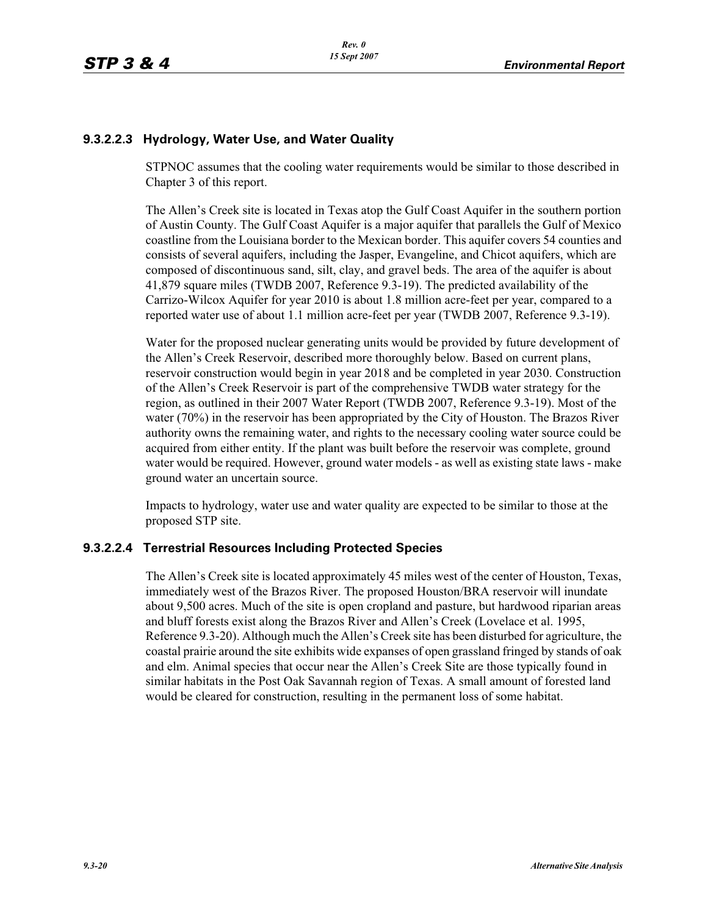## **9.3.2.2.3 Hydrology, Water Use, and Water Quality**

STPNOC assumes that the cooling water requirements would be similar to those described in Chapter 3 of this report.

The Allen's Creek site is located in Texas atop the Gulf Coast Aquifer in the southern portion of Austin County. The Gulf Coast Aquifer is a major aquifer that parallels the Gulf of Mexico coastline from the Louisiana border to the Mexican border. This aquifer covers 54 counties and consists of several aquifers, including the Jasper, Evangeline, and Chicot aquifers, which are composed of discontinuous sand, silt, clay, and gravel beds. The area of the aquifer is about 41,879 square miles (TWDB 2007, Reference 9.3-19). The predicted availability of the Carrizo-Wilcox Aquifer for year 2010 is about 1.8 million acre-feet per year, compared to a reported water use of about 1.1 million acre-feet per year (TWDB 2007, Reference 9.3-19).

Water for the proposed nuclear generating units would be provided by future development of the Allen's Creek Reservoir, described more thoroughly below. Based on current plans, reservoir construction would begin in year 2018 and be completed in year 2030. Construction of the Allen's Creek Reservoir is part of the comprehensive TWDB water strategy for the region, as outlined in their 2007 Water Report (TWDB 2007, Reference 9.3-19). Most of the water (70%) in the reservoir has been appropriated by the City of Houston. The Brazos River authority owns the remaining water, and rights to the necessary cooling water source could be acquired from either entity. If the plant was built before the reservoir was complete, ground water would be required. However, ground water models - as well as existing state laws - make ground water an uncertain source.

Impacts to hydrology, water use and water quality are expected to be similar to those at the proposed STP site.

## **9.3.2.2.4 Terrestrial Resources Including Protected Species**

The Allen's Creek site is located approximately 45 miles west of the center of Houston, Texas, immediately west of the Brazos River. The proposed Houston/BRA reservoir will inundate about 9,500 acres. Much of the site is open cropland and pasture, but hardwood riparian areas and bluff forests exist along the Brazos River and Allen's Creek (Lovelace et al. 1995, Reference 9.3-20). Although much the Allen's Creek site has been disturbed for agriculture, the coastal prairie around the site exhibits wide expanses of open grassland fringed by stands of oak and elm. Animal species that occur near the Allen's Creek Site are those typically found in similar habitats in the Post Oak Savannah region of Texas. A small amount of forested land would be cleared for construction, resulting in the permanent loss of some habitat.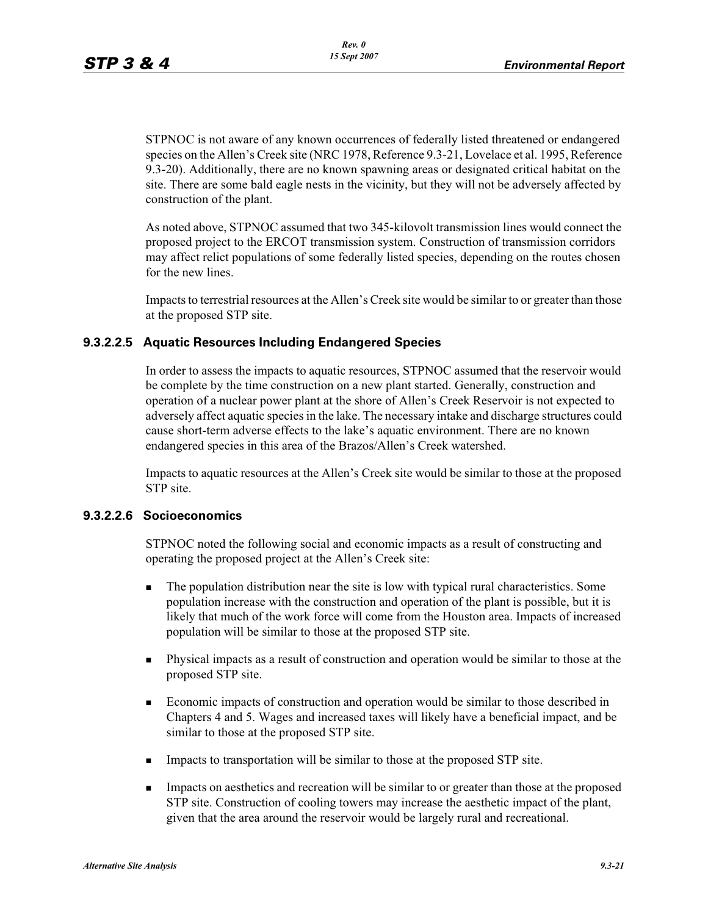STPNOC is not aware of any known occurrences of federally listed threatened or endangered species on the Allen's Creek site (NRC 1978, Reference 9.3-21, Lovelace et al. 1995, Reference 9.3-20). Additionally, there are no known spawning areas or designated critical habitat on the site. There are some bald eagle nests in the vicinity, but they will not be adversely affected by construction of the plant.

As noted above, STPNOC assumed that two 345-kilovolt transmission lines would connect the proposed project to the ERCOT transmission system. Construction of transmission corridors may affect relict populations of some federally listed species, depending on the routes chosen for the new lines.

Impacts to terrestrial resources at the Allen's Creek site would be similar to or greater than those at the proposed STP site.

#### **9.3.2.2.5 Aquatic Resources Including Endangered Species**

In order to assess the impacts to aquatic resources, STPNOC assumed that the reservoir would be complete by the time construction on a new plant started. Generally, construction and operation of a nuclear power plant at the shore of Allen's Creek Reservoir is not expected to adversely affect aquatic species in the lake. The necessary intake and discharge structures could cause short-term adverse effects to the lake's aquatic environment. There are no known endangered species in this area of the Brazos/Allen's Creek watershed.

Impacts to aquatic resources at the Allen's Creek site would be similar to those at the proposed STP site.

#### **9.3.2.2.6 Socioeconomics**

STPNOC noted the following social and economic impacts as a result of constructing and operating the proposed project at the Allen's Creek site:

- - The population distribution near the site is low with typical rural characteristics. Some population increase with the construction and operation of the plant is possible, but it is likely that much of the work force will come from the Houston area. Impacts of increased population will be similar to those at the proposed STP site.
- - Physical impacts as a result of construction and operation would be similar to those at the proposed STP site.
- - Economic impacts of construction and operation would be similar to those described in Chapters 4 and 5. Wages and increased taxes will likely have a beneficial impact, and be similar to those at the proposed STP site.
- -Impacts to transportation will be similar to those at the proposed STP site.
- - Impacts on aesthetics and recreation will be similar to or greater than those at the proposed STP site. Construction of cooling towers may increase the aesthetic impact of the plant, given that the area around the reservoir would be largely rural and recreational.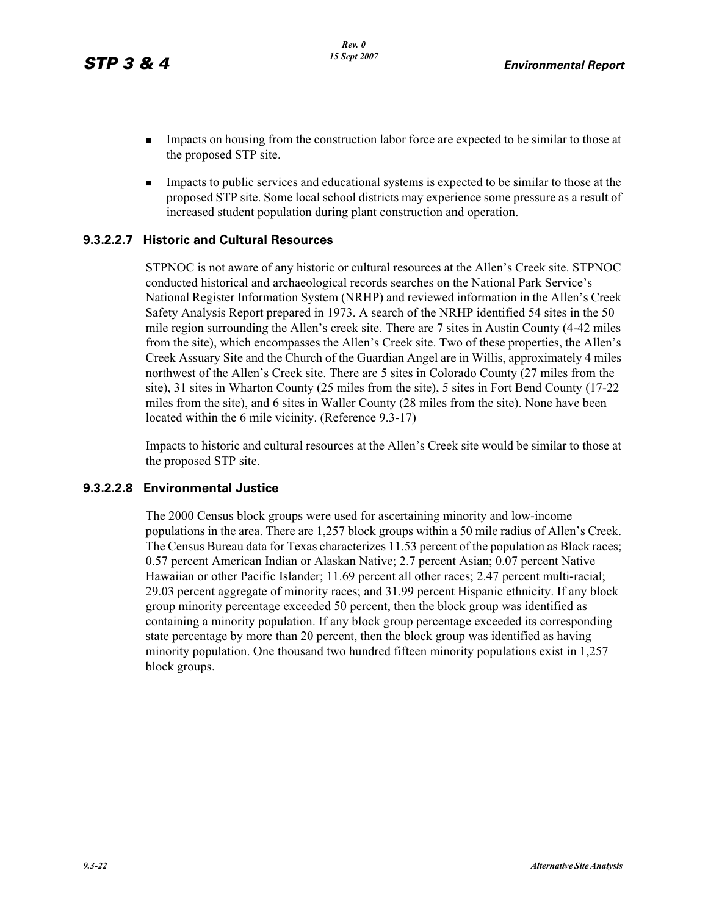- - Impacts on housing from the construction labor force are expected to be similar to those at the proposed STP site.
- - Impacts to public services and educational systems is expected to be similar to those at the proposed STP site. Some local school districts may experience some pressure as a result of increased student population during plant construction and operation.

#### **9.3.2.2.7 Historic and Cultural Resources**

STPNOC is not aware of any historic or cultural resources at the Allen's Creek site. STPNOC conducted historical and archaeological records searches on the National Park Service's National Register Information System (NRHP) and reviewed information in the Allen's Creek Safety Analysis Report prepared in 1973. A search of the NRHP identified 54 sites in the 50 mile region surrounding the Allen's creek site. There are 7 sites in Austin County (4-42 miles from the site), which encompasses the Allen's Creek site. Two of these properties, the Allen's Creek Assuary Site and the Church of the Guardian Angel are in Willis, approximately 4 miles northwest of the Allen's Creek site. There are 5 sites in Colorado County (27 miles from the site), 31 sites in Wharton County (25 miles from the site), 5 sites in Fort Bend County (17-22 miles from the site), and 6 sites in Waller County (28 miles from the site). None have been located within the 6 mile vicinity. (Reference 9.3-17)

Impacts to historic and cultural resources at the Allen's Creek site would be similar to those at the proposed STP site.

#### **9.3.2.2.8 Environmental Justice**

The 2000 Census block groups were used for ascertaining minority and low-income populations in the area. There are 1,257 block groups within a 50 mile radius of Allen's Creek. The Census Bureau data for Texas characterizes 11.53 percent of the population as Black races; 0.57 percent American Indian or Alaskan Native; 2.7 percent Asian; 0.07 percent Native Hawaiian or other Pacific Islander; 11.69 percent all other races; 2.47 percent multi-racial; 29.03 percent aggregate of minority races; and 31.99 percent Hispanic ethnicity. If any block group minority percentage exceeded 50 percent, then the block group was identified as containing a minority population. If any block group percentage exceeded its corresponding state percentage by more than 20 percent, then the block group was identified as having minority population. One thousand two hundred fifteen minority populations exist in 1,257 block groups.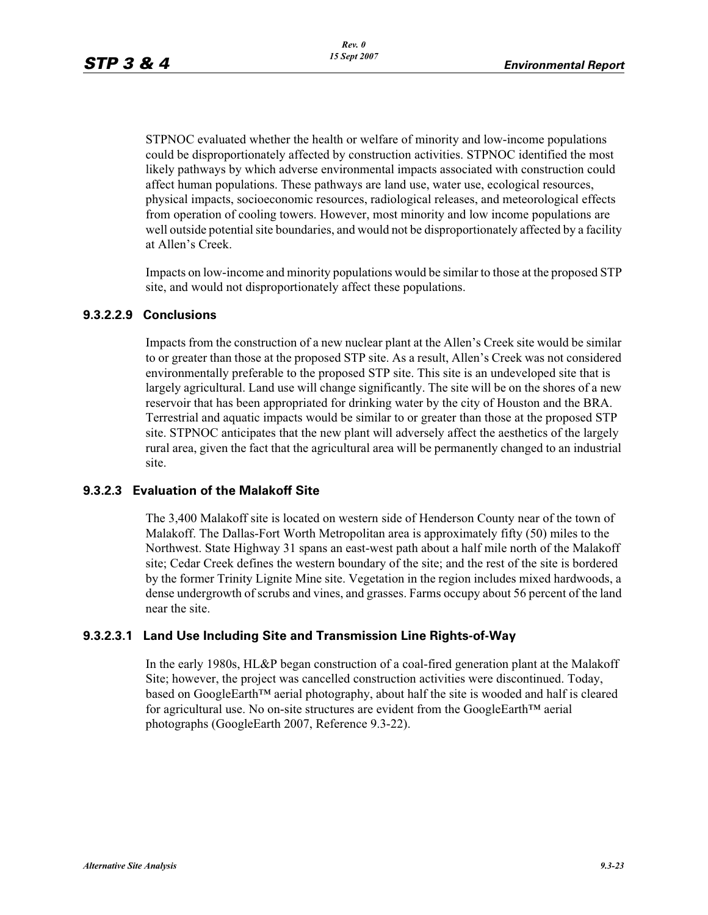STPNOC evaluated whether the health or welfare of minority and low-income populations could be disproportionately affected by construction activities. STPNOC identified the most likely pathways by which adverse environmental impacts associated with construction could affect human populations. These pathways are land use, water use, ecological resources, physical impacts, socioeconomic resources, radiological releases, and meteorological effects from operation of cooling towers. However, most minority and low income populations are well outside potential site boundaries, and would not be disproportionately affected by a facility at Allen's Creek.

Impacts on low-income and minority populations would be similar to those at the proposed STP site, and would not disproportionately affect these populations.

#### **9.3.2.2.9 Conclusions**

Impacts from the construction of a new nuclear plant at the Allen's Creek site would be similar to or greater than those at the proposed STP site. As a result, Allen's Creek was not considered environmentally preferable to the proposed STP site. This site is an undeveloped site that is largely agricultural. Land use will change significantly. The site will be on the shores of a new reservoir that has been appropriated for drinking water by the city of Houston and the BRA. Terrestrial and aquatic impacts would be similar to or greater than those at the proposed STP site. STPNOC anticipates that the new plant will adversely affect the aesthetics of the largely rural area, given the fact that the agricultural area will be permanently changed to an industrial site.

#### **9.3.2.3 Evaluation of the Malakoff Site**

The 3,400 Malakoff site is located on western side of Henderson County near of the town of Malakoff. The Dallas-Fort Worth Metropolitan area is approximately fifty (50) miles to the Northwest. State Highway 31 spans an east-west path about a half mile north of the Malakoff site; Cedar Creek defines the western boundary of the site; and the rest of the site is bordered by the former Trinity Lignite Mine site. Vegetation in the region includes mixed hardwoods, a dense undergrowth of scrubs and vines, and grasses. Farms occupy about 56 percent of the land near the site.

## **9.3.2.3.1 Land Use Including Site and Transmission Line Rights-of-Way**

In the early 1980s, HL&P began construction of a coal-fired generation plant at the Malakoff Site; however, the project was cancelled construction activities were discontinued. Today, based on GoogleEarth™ aerial photography, about half the site is wooded and half is cleared for agricultural use. No on-site structures are evident from the GoogleEarth™ aerial photographs (GoogleEarth 2007, Reference 9.3-22).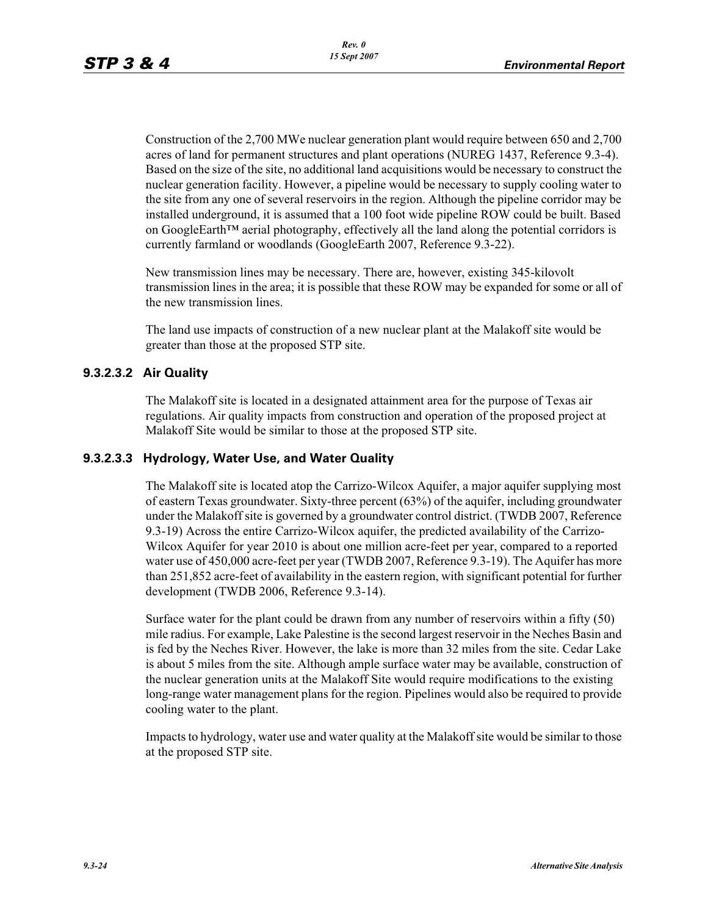Construction of the 2,700 MWe nuclear generation plant would require between 650 and 2,700 acres of land for permanent structures and plant operations (NUREG 1437, Reference 9.3-4). Based on the size of the site, no additional land acquisitions would be necessary to construct the nuclear generation facility. However, a pipeline would be necessary to supply cooling water to the site from any one of several reservoirs in the region. Although the pipeline corridor may be installed underground, it is assumed that a 100 foot wide pipeline ROW could be built. Based on GoogleEarth™ aerial photography, effectively all the land along the potential corridors is currently farmland or woodlands (GoogleEarth 2007, Reference 9.3-22).

New transmission lines may be necessary. There are, however, existing 345-kilovolt transmission lines in the area; it is possible that these ROW may be expanded for some or all of the new transmission lines.

The land use impacts of construction of a new nuclear plant at the Malakoff site would be greater than those at the proposed STP site.

## **9.3.2.3.2 Air Quality**

The Malakoff site is located in a designated attainment area for the purpose of Texas air regulations. Air quality impacts from construction and operation of the proposed project at Malakoff Site would be similar to those at the proposed STP site.

#### **9.3.2.3.3 Hydrology, Water Use, and Water Quality**

The Malakoff site is located atop the Carrizo-Wilcox Aquifer, a major aquifer supplying most of eastern Texas groundwater. Sixty-three percent (63%) of the aquifer, including groundwater under the Malakoff site is governed by a groundwater control district. (TWDB 2007, Reference 9.3-19) Across the entire Carrizo-Wilcox aquifer, the predicted availability of the Carrizo-Wilcox Aquifer for year 2010 is about one million acre-feet per year, compared to a reported water use of 450,000 acre-feet per year (TWDB 2007, Reference 9.3-19). The Aquifer has more than 251,852 acre-feet of availability in the eastern region, with significant potential for further development (TWDB 2006, Reference 9.3-14).

Surface water for the plant could be drawn from any number of reservoirs within a fifty (50) mile radius. For example, Lake Palestine is the second largest reservoir in the Neches Basin and is fed by the Neches River. However, the lake is more than 32 miles from the site. Cedar Lake is about 5 miles from the site. Although ample surface water may be available, construction of the nuclear generation units at the Malakoff Site would require modifications to the existing long-range water management plans for the region. Pipelines would also be required to provide cooling water to the plant.

Impacts to hydrology, water use and water quality at the Malakoff site would be similar to those at the proposed STP site.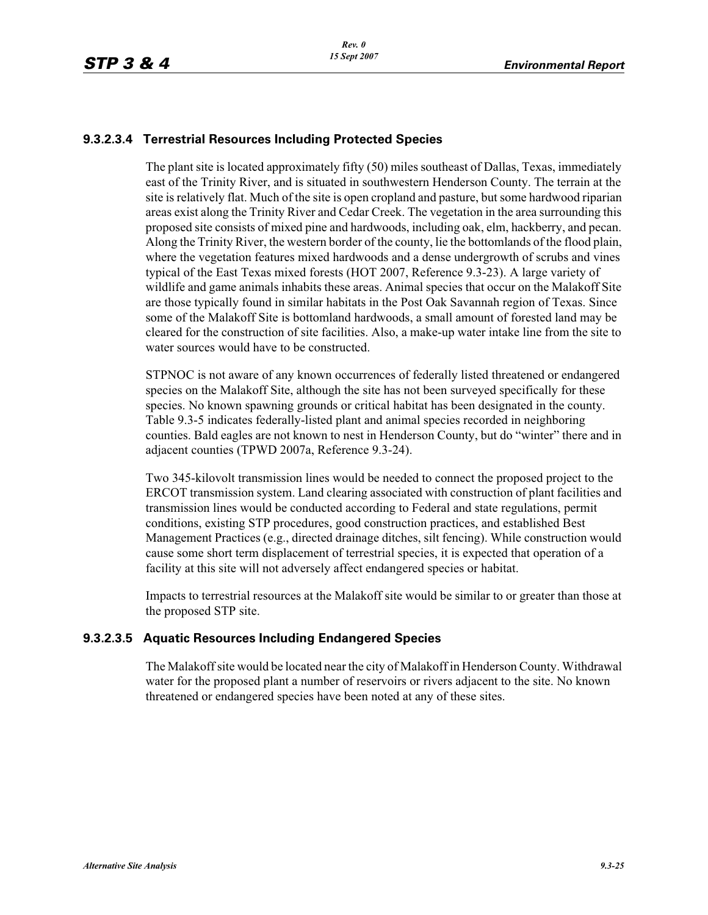## **9.3.2.3.4 Terrestrial Resources Including Protected Species**

The plant site is located approximately fifty (50) miles southeast of Dallas, Texas, immediately east of the Trinity River, and is situated in southwestern Henderson County. The terrain at the site is relatively flat. Much of the site is open cropland and pasture, but some hardwood riparian areas exist along the Trinity River and Cedar Creek. The vegetation in the area surrounding this proposed site consists of mixed pine and hardwoods, including oak, elm, hackberry, and pecan. Along the Trinity River, the western border of the county, lie the bottomlands of the flood plain, where the vegetation features mixed hardwoods and a dense undergrowth of scrubs and vines typical of the East Texas mixed forests (HOT 2007, Reference 9.3-23). A large variety of wildlife and game animals inhabits these areas. Animal species that occur on the Malakoff Site are those typically found in similar habitats in the Post Oak Savannah region of Texas. Since some of the Malakoff Site is bottomland hardwoods, a small amount of forested land may be cleared for the construction of site facilities. Also, a make-up water intake line from the site to water sources would have to be constructed.

STPNOC is not aware of any known occurrences of federally listed threatened or endangered species on the Malakoff Site, although the site has not been surveyed specifically for these species. No known spawning grounds or critical habitat has been designated in the county. Table 9.3-5 indicates federally-listed plant and animal species recorded in neighboring counties. Bald eagles are not known to nest in Henderson County, but do "winter" there and in adjacent counties (TPWD 2007a, Reference 9.3-24).

Two 345-kilovolt transmission lines would be needed to connect the proposed project to the ERCOT transmission system. Land clearing associated with construction of plant facilities and transmission lines would be conducted according to Federal and state regulations, permit conditions, existing STP procedures, good construction practices, and established Best Management Practices (e.g., directed drainage ditches, silt fencing). While construction would cause some short term displacement of terrestrial species, it is expected that operation of a facility at this site will not adversely affect endangered species or habitat.

Impacts to terrestrial resources at the Malakoff site would be similar to or greater than those at the proposed STP site.

## **9.3.2.3.5 Aquatic Resources Including Endangered Species**

The Malakoff site would be located near the city of Malakoff in Henderson County. Withdrawal water for the proposed plant a number of reservoirs or rivers adjacent to the site. No known threatened or endangered species have been noted at any of these sites.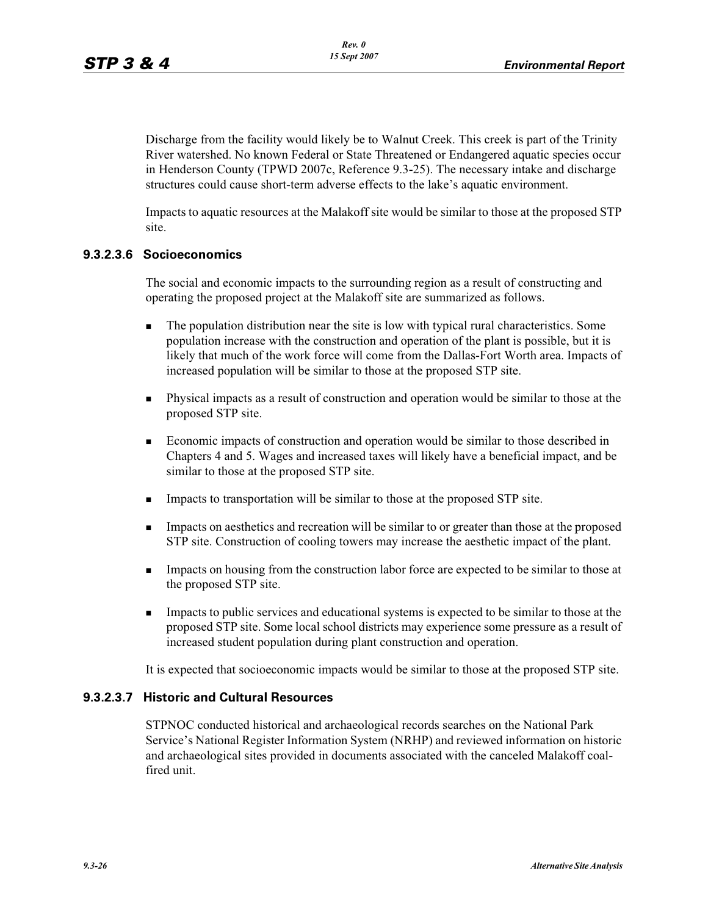Discharge from the facility would likely be to Walnut Creek. This creek is part of the Trinity River watershed. No known Federal or State Threatened or Endangered aquatic species occur in Henderson County (TPWD 2007c, Reference 9.3-25). The necessary intake and discharge structures could cause short-term adverse effects to the lake's aquatic environment.

Impacts to aquatic resources at the Malakoff site would be similar to those at the proposed STP site.

## **9.3.2.3.6 Socioeconomics**

The social and economic impacts to the surrounding region as a result of constructing and operating the proposed project at the Malakoff site are summarized as follows.

- - The population distribution near the site is low with typical rural characteristics. Some population increase with the construction and operation of the plant is possible, but it is likely that much of the work force will come from the Dallas-Fort Worth area. Impacts of increased population will be similar to those at the proposed STP site.
- - Physical impacts as a result of construction and operation would be similar to those at the proposed STP site.
- - Economic impacts of construction and operation would be similar to those described in Chapters 4 and 5. Wages and increased taxes will likely have a beneficial impact, and be similar to those at the proposed STP site.
- -Impacts to transportation will be similar to those at the proposed STP site.
- - Impacts on aesthetics and recreation will be similar to or greater than those at the proposed STP site. Construction of cooling towers may increase the aesthetic impact of the plant.
- - Impacts on housing from the construction labor force are expected to be similar to those at the proposed STP site.
- - Impacts to public services and educational systems is expected to be similar to those at the proposed STP site. Some local school districts may experience some pressure as a result of increased student population during plant construction and operation.

It is expected that socioeconomic impacts would be similar to those at the proposed STP site.

#### **9.3.2.3.7 Historic and Cultural Resources**

STPNOC conducted historical and archaeological records searches on the National Park Service's National Register Information System (NRHP) and reviewed information on historic and archaeological sites provided in documents associated with the canceled Malakoff coalfired unit.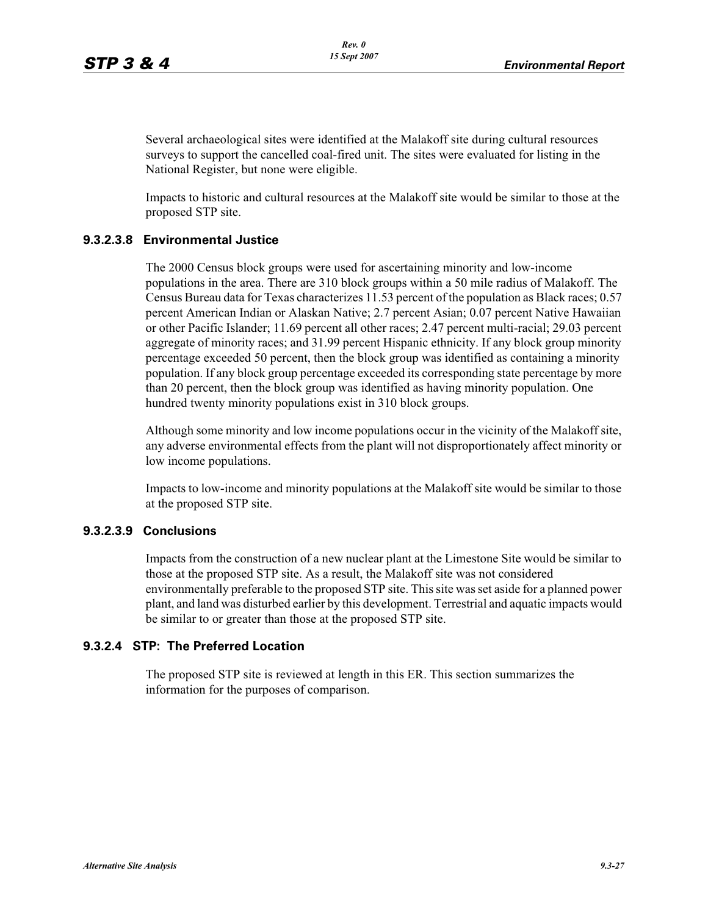Several archaeological sites were identified at the Malakoff site during cultural resources surveys to support the cancelled coal-fired unit. The sites were evaluated for listing in the National Register, but none were eligible.

Impacts to historic and cultural resources at the Malakoff site would be similar to those at the proposed STP site.

#### **9.3.2.3.8 Environmental Justice**

The 2000 Census block groups were used for ascertaining minority and low-income populations in the area. There are 310 block groups within a 50 mile radius of Malakoff. The Census Bureau data for Texas characterizes 11.53 percent of the population as Black races; 0.57 percent American Indian or Alaskan Native; 2.7 percent Asian; 0.07 percent Native Hawaiian or other Pacific Islander; 11.69 percent all other races; 2.47 percent multi-racial; 29.03 percent aggregate of minority races; and 31.99 percent Hispanic ethnicity. If any block group minority percentage exceeded 50 percent, then the block group was identified as containing a minority population. If any block group percentage exceeded its corresponding state percentage by more than 20 percent, then the block group was identified as having minority population. One hundred twenty minority populations exist in 310 block groups.

Although some minority and low income populations occur in the vicinity of the Malakoff site, any adverse environmental effects from the plant will not disproportionately affect minority or low income populations.

Impacts to low-income and minority populations at the Malakoff site would be similar to those at the proposed STP site.

#### **9.3.2.3.9 Conclusions**

Impacts from the construction of a new nuclear plant at the Limestone Site would be similar to those at the proposed STP site. As a result, the Malakoff site was not considered environmentally preferable to the proposed STP site. This site was set aside for a planned power plant, and land was disturbed earlier by this development. Terrestrial and aquatic impacts would be similar to or greater than those at the proposed STP site.

#### **9.3.2.4 STP: The Preferred Location**

The proposed STP site is reviewed at length in this ER. This section summarizes the information for the purposes of comparison.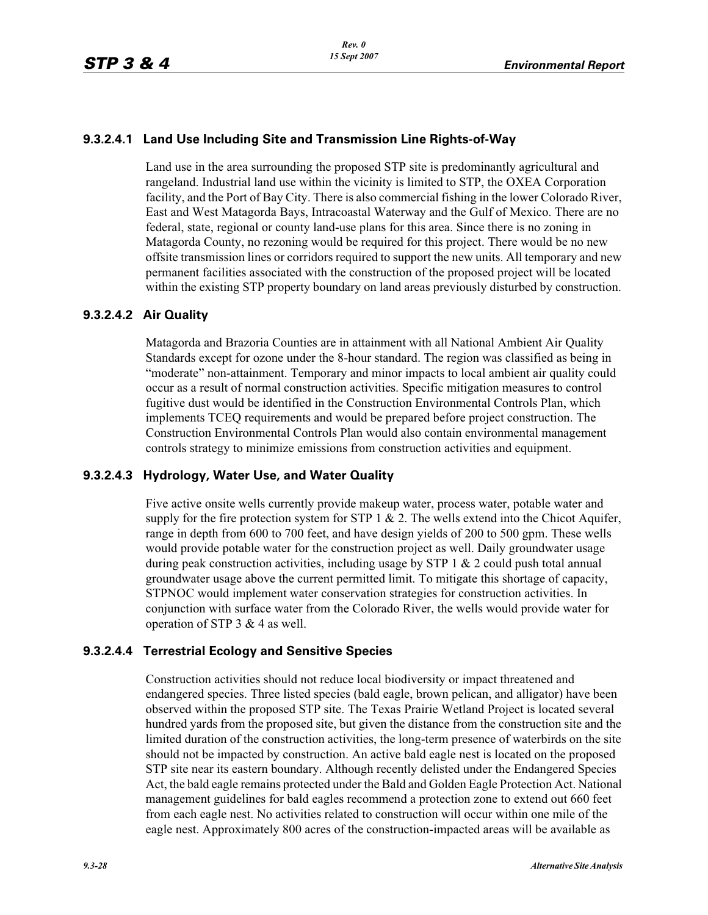#### **9.3.2.4.1 Land Use Including Site and Transmission Line Rights-of-Way**

Land use in the area surrounding the proposed STP site is predominantly agricultural and rangeland. Industrial land use within the vicinity is limited to STP, the OXEA Corporation facility, and the Port of Bay City. There is also commercial fishing in the lower Colorado River, East and West Matagorda Bays, Intracoastal Waterway and the Gulf of Mexico. There are no federal, state, regional or county land-use plans for this area. Since there is no zoning in Matagorda County, no rezoning would be required for this project. There would be no new offsite transmission lines or corridors required to support the new units. All temporary and new permanent facilities associated with the construction of the proposed project will be located within the existing STP property boundary on land areas previously disturbed by construction.

#### **9.3.2.4.2 Air Quality**

Matagorda and Brazoria Counties are in attainment with all National Ambient Air Quality Standards except for ozone under the 8-hour standard. The region was classified as being in "moderate" non-attainment. Temporary and minor impacts to local ambient air quality could occur as a result of normal construction activities. Specific mitigation measures to control fugitive dust would be identified in the Construction Environmental Controls Plan, which implements TCEQ requirements and would be prepared before project construction. The Construction Environmental Controls Plan would also contain environmental management controls strategy to minimize emissions from construction activities and equipment.

#### **9.3.2.4.3 Hydrology, Water Use, and Water Quality**

Five active onsite wells currently provide makeup water, process water, potable water and supply for the fire protection system for STP  $1 \& 2$ . The wells extend into the Chicot Aquifer, range in depth from 600 to 700 feet, and have design yields of 200 to 500 gpm. These wells would provide potable water for the construction project as well. Daily groundwater usage during peak construction activities, including usage by STP  $1 \& 2$  could push total annual groundwater usage above the current permitted limit. To mitigate this shortage of capacity, STPNOC would implement water conservation strategies for construction activities. In conjunction with surface water from the Colorado River, the wells would provide water for operation of STP 3 & 4 as well.

#### **9.3.2.4.4 Terrestrial Ecology and Sensitive Species**

Construction activities should not reduce local biodiversity or impact threatened and endangered species. Three listed species (bald eagle, brown pelican, and alligator) have been observed within the proposed STP site. The Texas Prairie Wetland Project is located several hundred yards from the proposed site, but given the distance from the construction site and the limited duration of the construction activities, the long-term presence of waterbirds on the site should not be impacted by construction. An active bald eagle nest is located on the proposed STP site near its eastern boundary. Although recently delisted under the Endangered Species Act, the bald eagle remains protected under the Bald and Golden Eagle Protection Act. National management guidelines for bald eagles recommend a protection zone to extend out 660 feet from each eagle nest. No activities related to construction will occur within one mile of the eagle nest. Approximately 800 acres of the construction-impacted areas will be available as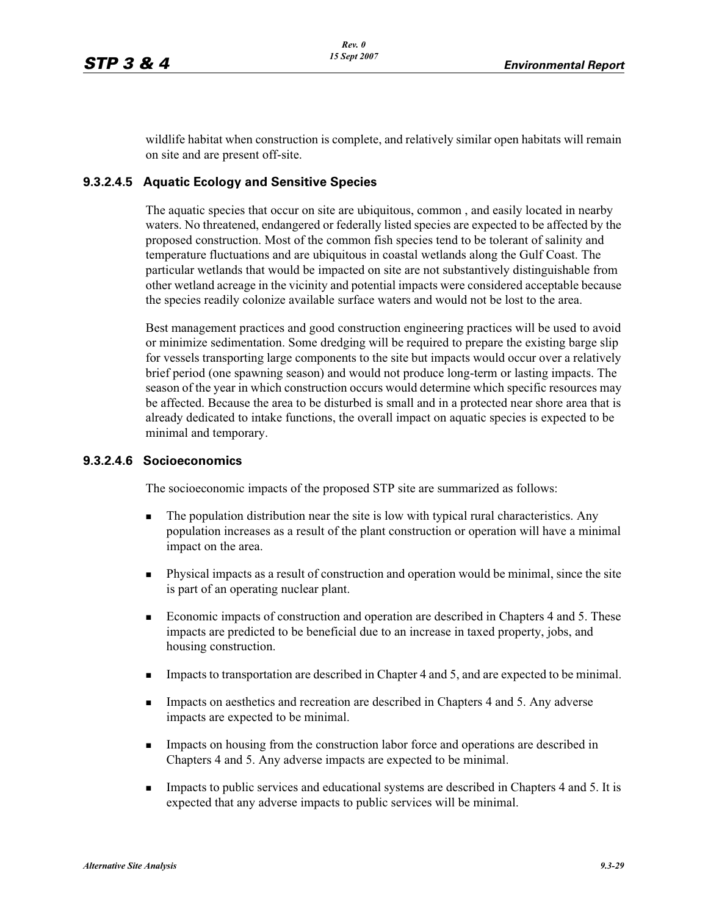wildlife habitat when construction is complete, and relatively similar open habitats will remain on site and are present off-site.

#### **9.3.2.4.5 Aquatic Ecology and Sensitive Species**

The aquatic species that occur on site are ubiquitous, common , and easily located in nearby waters. No threatened, endangered or federally listed species are expected to be affected by the proposed construction. Most of the common fish species tend to be tolerant of salinity and temperature fluctuations and are ubiquitous in coastal wetlands along the Gulf Coast. The particular wetlands that would be impacted on site are not substantively distinguishable from other wetland acreage in the vicinity and potential impacts were considered acceptable because the species readily colonize available surface waters and would not be lost to the area.

Best management practices and good construction engineering practices will be used to avoid or minimize sedimentation. Some dredging will be required to prepare the existing barge slip for vessels transporting large components to the site but impacts would occur over a relatively brief period (one spawning season) and would not produce long-term or lasting impacts. The season of the year in which construction occurs would determine which specific resources may be affected. Because the area to be disturbed is small and in a protected near shore area that is already dedicated to intake functions, the overall impact on aquatic species is expected to be minimal and temporary.

#### **9.3.2.4.6 Socioeconomics**

The socioeconomic impacts of the proposed STP site are summarized as follows:

- - The population distribution near the site is low with typical rural characteristics. Any population increases as a result of the plant construction or operation will have a minimal impact on the area.
- - Physical impacts as a result of construction and operation would be minimal, since the site is part of an operating nuclear plant.
- - Economic impacts of construction and operation are described in Chapters 4 and 5. These impacts are predicted to be beneficial due to an increase in taxed property, jobs, and housing construction.
- -Impacts to transportation are described in Chapter 4 and 5, and are expected to be minimal.
- - Impacts on aesthetics and recreation are described in Chapters 4 and 5. Any adverse impacts are expected to be minimal.
- - Impacts on housing from the construction labor force and operations are described in Chapters 4 and 5. Any adverse impacts are expected to be minimal.
- - Impacts to public services and educational systems are described in Chapters 4 and 5. It is expected that any adverse impacts to public services will be minimal.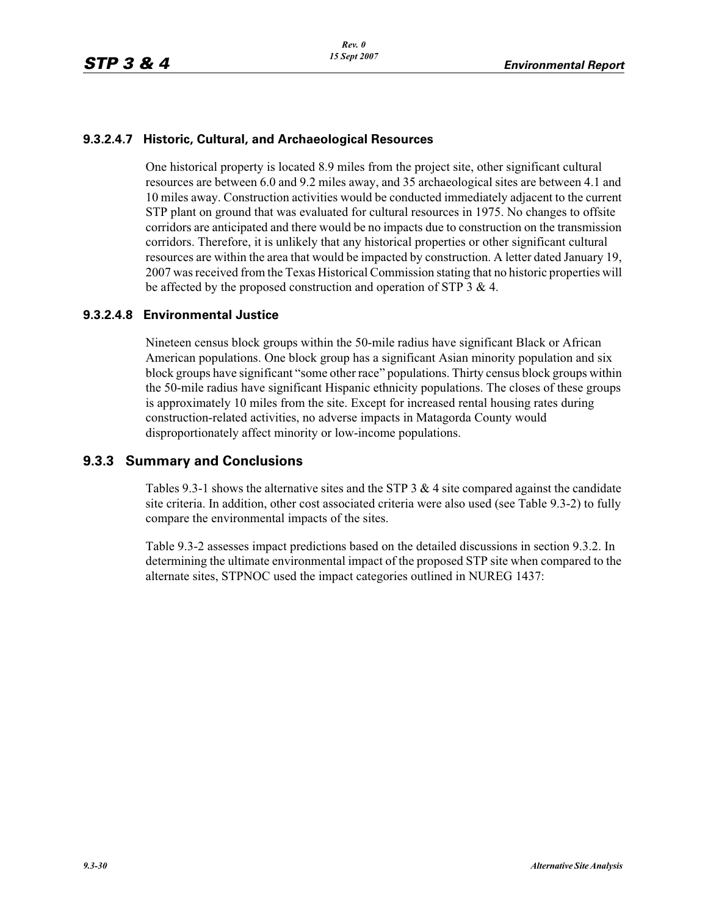## **9.3.2.4.7 Historic, Cultural, and Archaeological Resources**

One historical property is located 8.9 miles from the project site, other significant cultural resources are between 6.0 and 9.2 miles away, and 35 archaeological sites are between 4.1 and 10 miles away. Construction activities would be conducted immediately adjacent to the current STP plant on ground that was evaluated for cultural resources in 1975. No changes to offsite corridors are anticipated and there would be no impacts due to construction on the transmission corridors. Therefore, it is unlikely that any historical properties or other significant cultural resources are within the area that would be impacted by construction. A letter dated January 19, 2007 was received from the Texas Historical Commission stating that no historic properties will be affected by the proposed construction and operation of STP 3 & 4.

## **9.3.2.4.8 Environmental Justice**

Nineteen census block groups within the 50-mile radius have significant Black or African American populations. One block group has a significant Asian minority population and six block groups have significant "some other race" populations. Thirty census block groups within the 50-mile radius have significant Hispanic ethnicity populations. The closes of these groups is approximately 10 miles from the site. Except for increased rental housing rates during construction-related activities, no adverse impacts in Matagorda County would disproportionately affect minority or low-income populations.

## **9.3.3 Summary and Conclusions**

Tables 9.3-1 shows the alternative sites and the STP 3  $\&$  4 site compared against the candidate site criteria. In addition, other cost associated criteria were also used (see Table 9.3-2) to fully compare the environmental impacts of the sites.

Table 9.3-2 assesses impact predictions based on the detailed discussions in section 9.3.2. In determining the ultimate environmental impact of the proposed STP site when compared to the alternate sites, STPNOC used the impact categories outlined in NUREG 1437: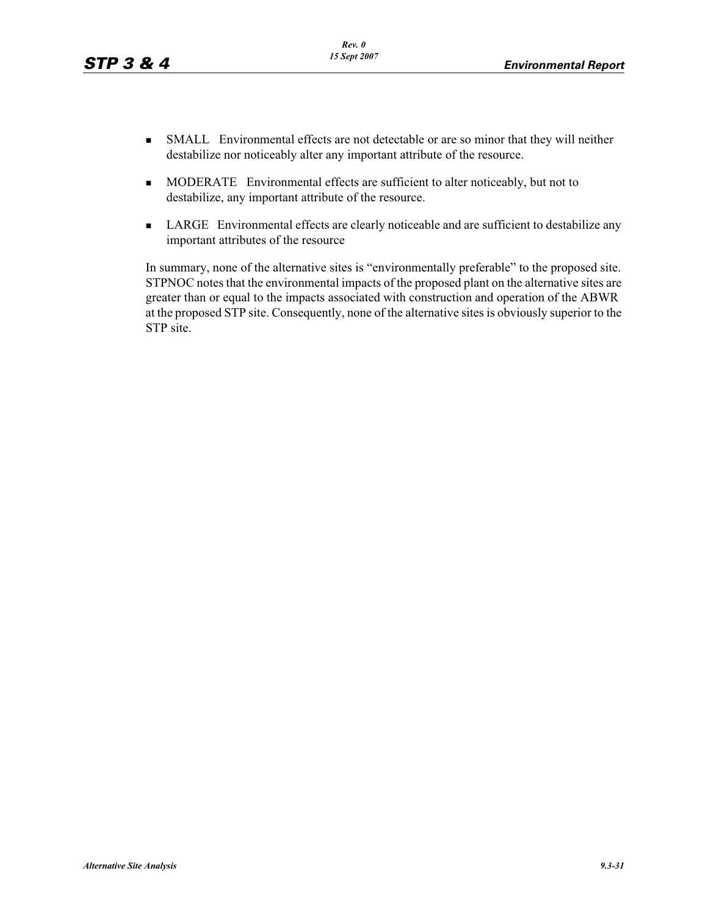- SMALL Environmental effects are not detectable or are so minor that they will neither destabilize nor noticeably alter any important attribute of the resource.
- - MODERATE Environmental effects are sufficient to alter noticeably, but not to destabilize, any important attribute of the resource.
- **I.** LARGE Environmental effects are clearly noticeable and are sufficient to destabilize any important attributes of the resource

In summary, none of the alternative sites is "environmentally preferable" to the proposed site. STPNOC notes that the environmental impacts of the proposed plant on the alternative sites are greater than or equal to the impacts associated with construction and operation of the ABWR at the proposed STP site. Consequently, none of the alternative sites is obviously superior to the STP site.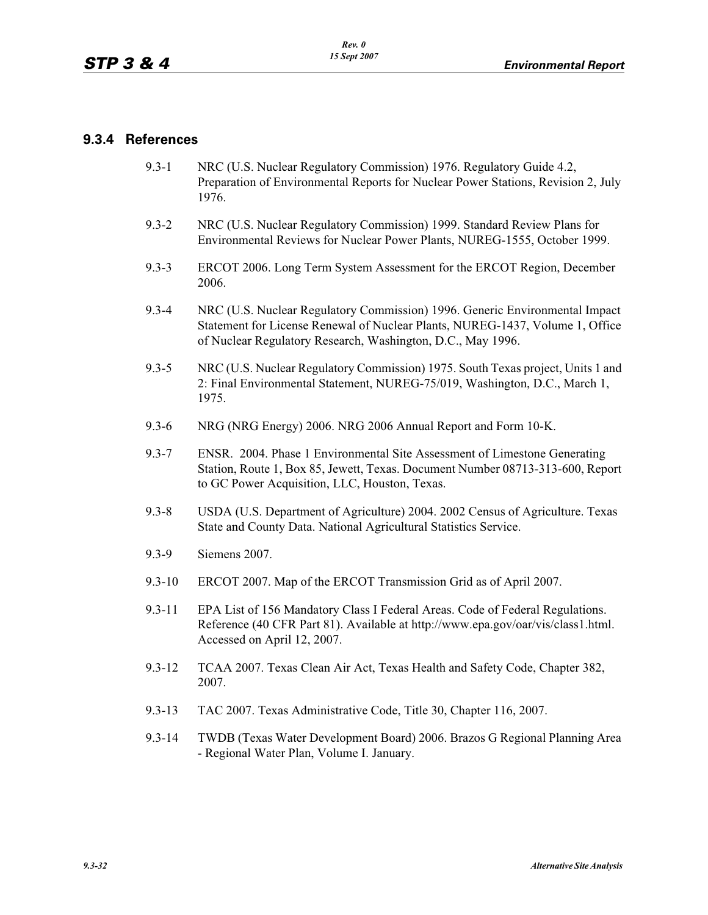## **9.3.4 References**

- 9.3-1 NRC (U.S. Nuclear Regulatory Commission) 1976. Regulatory Guide 4.2, Preparation of Environmental Reports for Nuclear Power Stations, Revision 2, July 1976.
- 9.3-2 NRC (U.S. Nuclear Regulatory Commission) 1999. Standard Review Plans for Environmental Reviews for Nuclear Power Plants, NUREG-1555, October 1999.
- 9.3-3 ERCOT 2006. Long Term System Assessment for the ERCOT Region, December 2006.
- 9.3-4 NRC (U.S. Nuclear Regulatory Commission) 1996. Generic Environmental Impact Statement for License Renewal of Nuclear Plants, NUREG-1437, Volume 1, Office of Nuclear Regulatory Research, Washington, D.C., May 1996.
- 9.3-5 NRC (U.S. Nuclear Regulatory Commission) 1975. South Texas project, Units 1 and 2: Final Environmental Statement, NUREG-75/019, Washington, D.C., March 1, 1975.
- 9.3-6 NRG (NRG Energy) 2006. NRG 2006 Annual Report and Form 10-K.
- 9.3-7 ENSR. 2004. Phase 1 Environmental Site Assessment of Limestone Generating Station, Route 1, Box 85, Jewett, Texas. Document Number 08713-313-600, Report to GC Power Acquisition, LLC, Houston, Texas.
- 9.3-8 USDA (U.S. Department of Agriculture) 2004. 2002 Census of Agriculture. Texas State and County Data. National Agricultural Statistics Service.
- 9.3-9 Siemens 2007.
- 9.3-10 ERCOT 2007. Map of the ERCOT Transmission Grid as of April 2007.
- 9.3-11 EPA List of 156 Mandatory Class I Federal Areas. Code of Federal Regulations. Reference (40 CFR Part 81). Available at http://www.epa.gov/oar/vis/class1.html. Accessed on April 12, 2007.
- 9.3-12 TCAA 2007. Texas Clean Air Act, Texas Health and Safety Code, Chapter 382, 2007.
- 9.3-13 TAC 2007. Texas Administrative Code, Title 30, Chapter 116, 2007.
- 9.3-14 TWDB (Texas Water Development Board) 2006. Brazos G Regional Planning Area - Regional Water Plan, Volume I. January.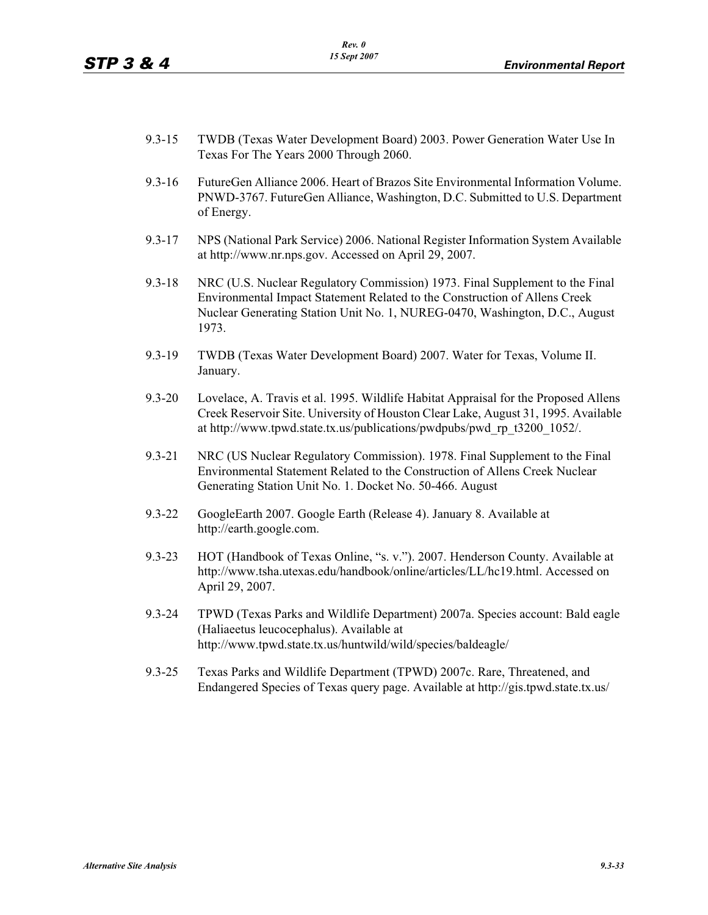- 9.3-15 TWDB (Texas Water Development Board) 2003. Power Generation Water Use In Texas For The Years 2000 Through 2060.
- 9.3-16 FutureGen Alliance 2006. Heart of Brazos Site Environmental Information Volume. PNWD-3767. FutureGen Alliance, Washington, D.C. Submitted to U.S. Department of Energy.
- 9.3-17 NPS (National Park Service) 2006. National Register Information System Available at http://www.nr.nps.gov. Accessed on April 29, 2007.
- 9.3-18 NRC (U.S. Nuclear Regulatory Commission) 1973. Final Supplement to the Final Environmental Impact Statement Related to the Construction of Allens Creek Nuclear Generating Station Unit No. 1, NUREG-0470, Washington, D.C., August 1973.
- 9.3-19 TWDB (Texas Water Development Board) 2007. Water for Texas, Volume II. January.
- 9.3-20 Lovelace, A. Travis et al. 1995. Wildlife Habitat Appraisal for the Proposed Allens Creek Reservoir Site. University of Houston Clear Lake, August 31, 1995. Available at http://www.tpwd.state.tx.us/publications/pwdpubs/pwd\_rp\_t3200\_1052/.
- 9.3-21 NRC (US Nuclear Regulatory Commission). 1978. Final Supplement to the Final Environmental Statement Related to the Construction of Allens Creek Nuclear Generating Station Unit No. 1. Docket No. 50-466. August
- 9.3-22 GoogleEarth 2007. Google Earth (Release 4). January 8. Available at http://earth.google.com.
- 9.3-23 HOT (Handbook of Texas Online, "s. v."). 2007. Henderson County. Available at http://www.tsha.utexas.edu/handbook/online/articles/LL/hc19.html. Accessed on April 29, 2007.
- 9.3-24 TPWD (Texas Parks and Wildlife Department) 2007a. Species account: Bald eagle (Haliaeetus leucocephalus). Available at http://www.tpwd.state.tx.us/huntwild/wild/species/baldeagle/
- 9.3-25 Texas Parks and Wildlife Department (TPWD) 2007c. Rare, Threatened, and Endangered Species of Texas query page. Available at http://gis.tpwd.state.tx.us/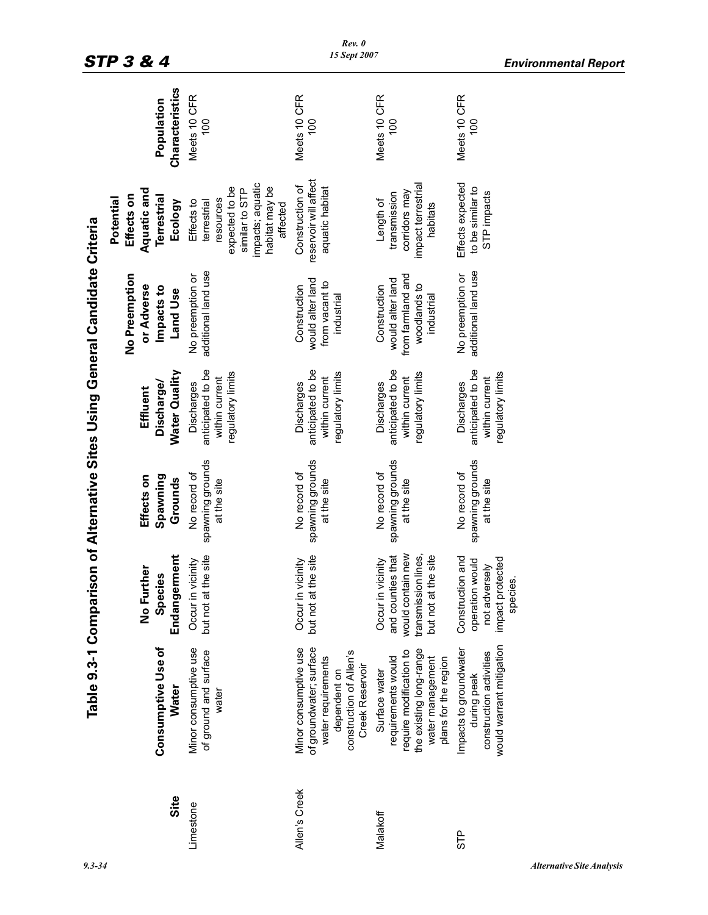|               | Table 9.3-1 Compari                                                                                                                   |                                                                                                              |                                                 |                                                                        | son of Alternative Sites Using General Candidate Criteria                           |                                                                                                                              |                                |
|---------------|---------------------------------------------------------------------------------------------------------------------------------------|--------------------------------------------------------------------------------------------------------------|-------------------------------------------------|------------------------------------------------------------------------|-------------------------------------------------------------------------------------|------------------------------------------------------------------------------------------------------------------------------|--------------------------------|
| Site          | <b>Consumptive Use of</b><br><b>Water</b>                                                                                             | Endangerment<br>No Further<br>Species                                                                        | Spawning<br>Effects on<br>Grounds               | Water Quality<br>Discharge/<br>Effluent                                | No Preemption<br>or Adverse<br>Impacts to<br><b>Land Use</b>                        | Aquatic and<br>Effects on<br>Terrestrial<br>Potential<br>Ecology                                                             | Characteristics<br>Population  |
| Limestone     | Minor consumptive use<br>of ground and surface<br>water                                                                               | the site<br>Occur in vicinity<br>but not at                                                                  | spawning grounds<br>No record of<br>at the site | anticipated to be<br>regulatory limits<br>within current<br>Discharges | additional land use<br>No preemption or                                             | impacts; aquatic<br>expected to be<br>habitat may be<br>similar to STP<br>resources<br>Effects to<br>terrestrial<br>affected | Meets 10 CFR<br>$\frac{0}{10}$ |
| Allen's Creek | Minor consumptive use<br>of groundwater; surface<br>construction of Allen's<br>water requirements<br>Creek Reservoir<br>dependent on  | the site<br>Occur in vicinity<br>but not at                                                                  | spawning grounds<br>No record of<br>at the site | anticipated to be<br>regulatory limits<br>within current<br>Discharges | would alter land<br>from vacant to<br>Construction<br>industrial                    | reservoir will affect<br>Construction of<br>aquatic habitat                                                                  | Meets 10 CFR<br>100            |
| Malakoff      | the existing long-range<br>require modification to<br>requirements would<br>water management<br>plans for the region<br>Surface water | would contain new<br>transmission lines,<br>and counties that<br>the site<br>Occur in vicinity<br>but not at | spawning grounds<br>No record of<br>at the site | anticipated to be<br>regulatory limits<br>within current<br>Discharges | from farmland and<br>would alter land<br>woodlands to<br>Construction<br>industrial | impact terrestrial<br>corridors may<br>transmission<br>Length of<br>habitats                                                 | Meets 10 CFR<br>100            |
| STP           | would warrant mitigation<br>Impacts to groundwater<br>construction activities<br>during peak                                          | Construction and<br>impact protected<br>operation would<br>not adversely<br>species.                         | spawning grounds<br>No record of<br>at the site | anticipated to be<br>egulatory limits<br>within current<br>Discharges  | additional land use<br>No preemption or                                             | Effects expected<br>to be similar to<br>STP impacts                                                                          | Meets 10 CFR<br>100            |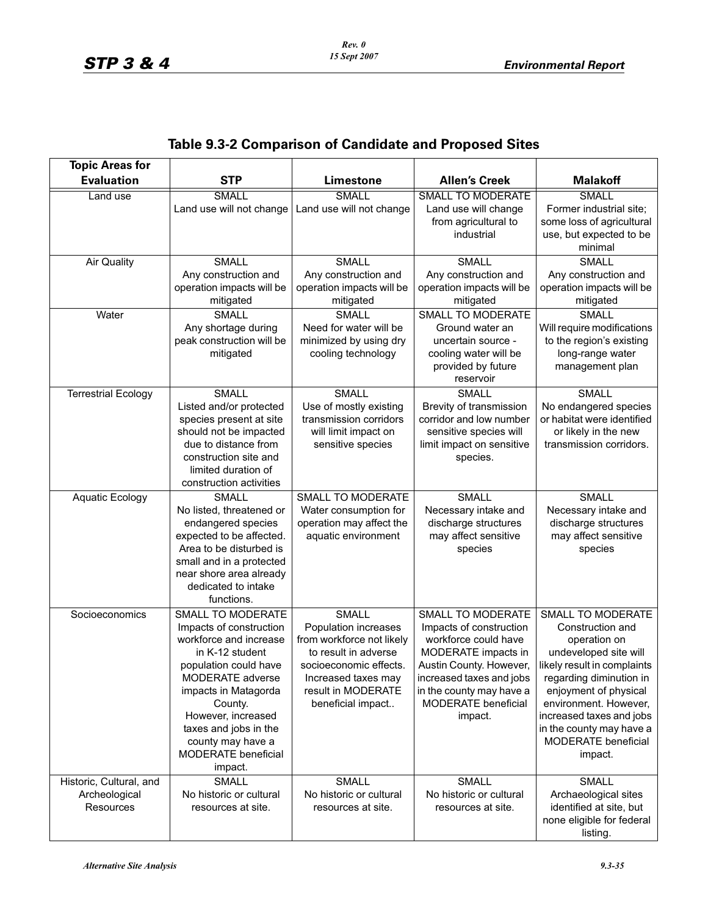| <b>Topic Areas for</b>                                |                                                                                                                                                                                                                                                                                 |                                                                                                                                                                                       |                                                                                                                                                                                                                         |                                                                                                                                                                                                                                                                                             |
|-------------------------------------------------------|---------------------------------------------------------------------------------------------------------------------------------------------------------------------------------------------------------------------------------------------------------------------------------|---------------------------------------------------------------------------------------------------------------------------------------------------------------------------------------|-------------------------------------------------------------------------------------------------------------------------------------------------------------------------------------------------------------------------|---------------------------------------------------------------------------------------------------------------------------------------------------------------------------------------------------------------------------------------------------------------------------------------------|
| <b>Evaluation</b>                                     | <b>STP</b>                                                                                                                                                                                                                                                                      | <b>Limestone</b>                                                                                                                                                                      | <b>Allen's Creek</b>                                                                                                                                                                                                    | <b>Malakoff</b>                                                                                                                                                                                                                                                                             |
| Land use                                              | <b>SMALL</b><br>Land use will not change                                                                                                                                                                                                                                        | <b>SMALL</b><br>Land use will not change                                                                                                                                              | <b>SMALL TO MODERATE</b><br>Land use will change<br>from agricultural to<br>industrial                                                                                                                                  | SMALL<br>Former industrial site;<br>some loss of agricultural<br>use, but expected to be<br>minimal                                                                                                                                                                                         |
| <b>Air Quality</b>                                    | <b>SMALL</b><br>Any construction and<br>operation impacts will be<br>mitigated                                                                                                                                                                                                  | <b>SMALL</b><br>Any construction and<br>operation impacts will be<br>mitigated                                                                                                        | <b>SMALL</b><br>Any construction and<br>operation impacts will be<br>mitigated                                                                                                                                          | <b>SMALL</b><br>Any construction and<br>operation impacts will be<br>mitigated                                                                                                                                                                                                              |
| Water                                                 | <b>SMALL</b><br>Any shortage during<br>peak construction will be<br>mitigated                                                                                                                                                                                                   | <b>SMALL</b><br>Need for water will be<br>minimized by using dry<br>cooling technology                                                                                                | SMALL TO MODERATE<br>Ground water an<br>uncertain source -<br>cooling water will be<br>provided by future<br>reservoir                                                                                                  | <b>SMALL</b><br>Will require modifications<br>to the region's existing<br>long-range water<br>management plan                                                                                                                                                                               |
| <b>Terrestrial Ecology</b>                            | <b>SMALL</b><br>Listed and/or protected<br>species present at site<br>should not be impacted<br>due to distance from<br>construction site and<br>limited duration of<br>construction activities                                                                                 | <b>SMALL</b><br>Use of mostly existing<br>transmission corridors<br>will limit impact on<br>sensitive species                                                                         | <b>SMALL</b><br>Brevity of transmission<br>corridor and low number<br>sensitive species will<br>limit impact on sensitive<br>species.                                                                                   | <b>SMALL</b><br>No endangered species<br>or habitat were identified<br>or likely in the new<br>transmission corridors.                                                                                                                                                                      |
| Aquatic Ecology                                       | <b>SMALL</b><br>No listed, threatened or<br>endangered species<br>expected to be affected.<br>Area to be disturbed is<br>small and in a protected<br>near shore area already<br>dedicated to intake<br>functions.                                                               | SMALL TO MODERATE<br>Water consumption for<br>operation may affect the<br>aquatic environment                                                                                         | <b>SMALL</b><br>Necessary intake and<br>discharge structures<br>may affect sensitive<br>species                                                                                                                         | <b>SMALL</b><br>Necessary intake and<br>discharge structures<br>may affect sensitive<br>species                                                                                                                                                                                             |
| Socioeconomics                                        | SMALL TO MODERATE<br>Impacts of construction<br>workforce and increase<br>in K-12 student<br>population could have<br>MODERATE adverse<br>impacts in Matagorda<br>County.<br>However, increased<br>taxes and jobs in the<br>county may have a<br>MODERATE beneficial<br>impact. | <b>SMALL</b><br>Population increases<br>from workforce not likely<br>to result in adverse<br>socioeconomic effects.<br>Increased taxes may<br>result in MODERATE<br>beneficial impact | SMALL TO MODERATE<br>Impacts of construction<br>workforce could have<br>MODERATE impacts in<br>Austin County. However,<br>increased taxes and jobs<br>in the county may have a<br><b>MODERATE</b> beneficial<br>impact. | <b>SMALL TO MODERATE</b><br>Construction and<br>operation on<br>undeveloped site will<br>likely result in complaints<br>regarding diminution in<br>enjoyment of physical<br>environment. However,<br>increased taxes and jobs<br>in the county may have a<br>MODERATE beneficial<br>impact. |
| Historic, Cultural, and<br>Archeological<br>Resources | <b>SMALL</b><br>No historic or cultural<br>resources at site.                                                                                                                                                                                                                   | <b>SMALL</b><br>No historic or cultural<br>resources at site.                                                                                                                         | <b>SMALL</b><br>No historic or cultural<br>resources at site.                                                                                                                                                           | <b>SMALL</b><br>Archaeological sites<br>identified at site, but<br>none eligible for federal<br>listing.                                                                                                                                                                                    |

# **Table 9.3-2 Comparison of Candidate and Proposed Sites**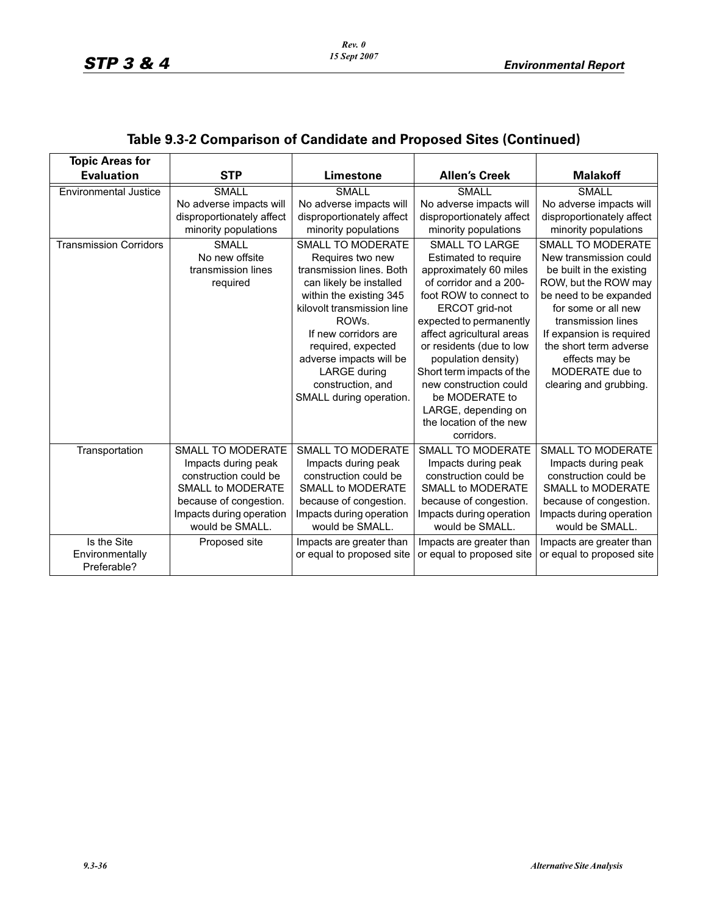| <b>Topic Areas for</b>        |                           |                            |                             |                           |
|-------------------------------|---------------------------|----------------------------|-----------------------------|---------------------------|
| <b>Evaluation</b>             | <b>STP</b>                | Limestone                  | <b>Allen's Creek</b>        | <b>Malakoff</b>           |
| <b>Environmental Justice</b>  | <b>SMALL</b>              | SMALL                      | SMALL                       | <b>SMALL</b>              |
|                               | No adverse impacts will   | No adverse impacts will    | No adverse impacts will     | No adverse impacts will   |
|                               | disproportionately affect | disproportionately affect  | disproportionately affect   | disproportionately affect |
|                               | minority populations      | minority populations       | minority populations        | minority populations      |
| <b>Transmission Corridors</b> | <b>SMALL</b>              | SMALL TO MODERATE          | <b>SMALL TO LARGE</b>       | SMALL TO MODERATE         |
|                               | No new offsite            | Requires two new           | <b>Estimated to require</b> | New transmission could    |
|                               | transmission lines        | transmission lines. Both   | approximately 60 miles      | be built in the existing  |
|                               | required                  | can likely be installed    | of corridor and a 200-      | ROW, but the ROW may      |
|                               |                           | within the existing 345    | foot ROW to connect to      | be need to be expanded    |
|                               |                           | kilovolt transmission line | ERCOT grid-not              | for some or all new       |
|                               |                           | ROWs.                      | expected to permanently     | transmission lines        |
|                               |                           | If new corridors are       | affect agricultural areas   | If expansion is required  |
|                               |                           | required, expected         | or residents (due to low    | the short term adverse    |
|                               |                           | adverse impacts will be    | population density)         | effects may be            |
|                               |                           | <b>LARGE during</b>        | Short term impacts of the   | MODERATE due to           |
|                               |                           | construction, and          | new construction could      | clearing and grubbing.    |
|                               |                           | SMALL during operation.    | be MODERATE to              |                           |
|                               |                           |                            | LARGE, depending on         |                           |
|                               |                           |                            | the location of the new     |                           |
|                               |                           |                            | corridors.                  |                           |
| Transportation                | SMALL TO MODERATE         | SMALL TO MODERATE          | SMALL TO MODERATE           | SMALL TO MODERATE         |
|                               | Impacts during peak       | Impacts during peak        | Impacts during peak         | Impacts during peak       |
|                               | construction could be     | construction could be      | construction could be       | construction could be     |
|                               | SMALL to MODERATE         | <b>SMALL to MODERATE</b>   | <b>SMALL to MODERATE</b>    | <b>SMALL to MODERATE</b>  |
|                               | because of congestion.    | because of congestion.     | because of congestion.      | because of congestion.    |
|                               | Impacts during operation  | Impacts during operation   | Impacts during operation    | Impacts during operation  |
|                               | would be SMALL.           | would be SMALL.            | would be SMALL.             | would be SMALL.           |
| Is the Site                   | Proposed site             | Impacts are greater than   | Impacts are greater than    | Impacts are greater than  |
| Environmentally               |                           | or equal to proposed site  | or equal to proposed site   | or equal to proposed site |
| Preferable?                   |                           |                            |                             |                           |

# **Table 9.3-2 Comparison of Candidate and Proposed Sites (Continued)**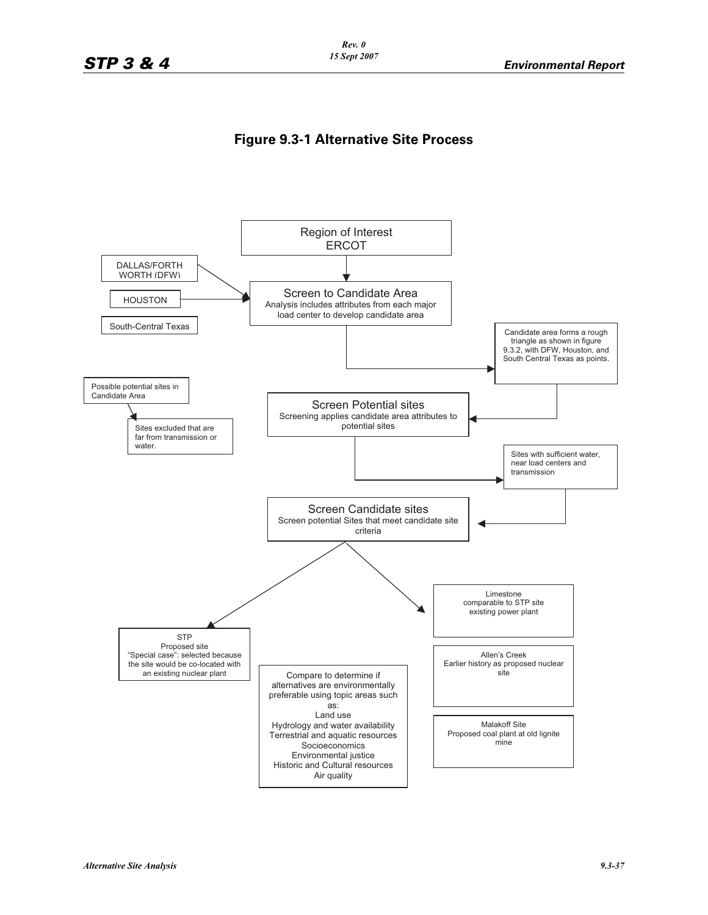#### *Rev. 0 15 Sept 2007*

## **Figure 9.3-1 Alternative Site Process**